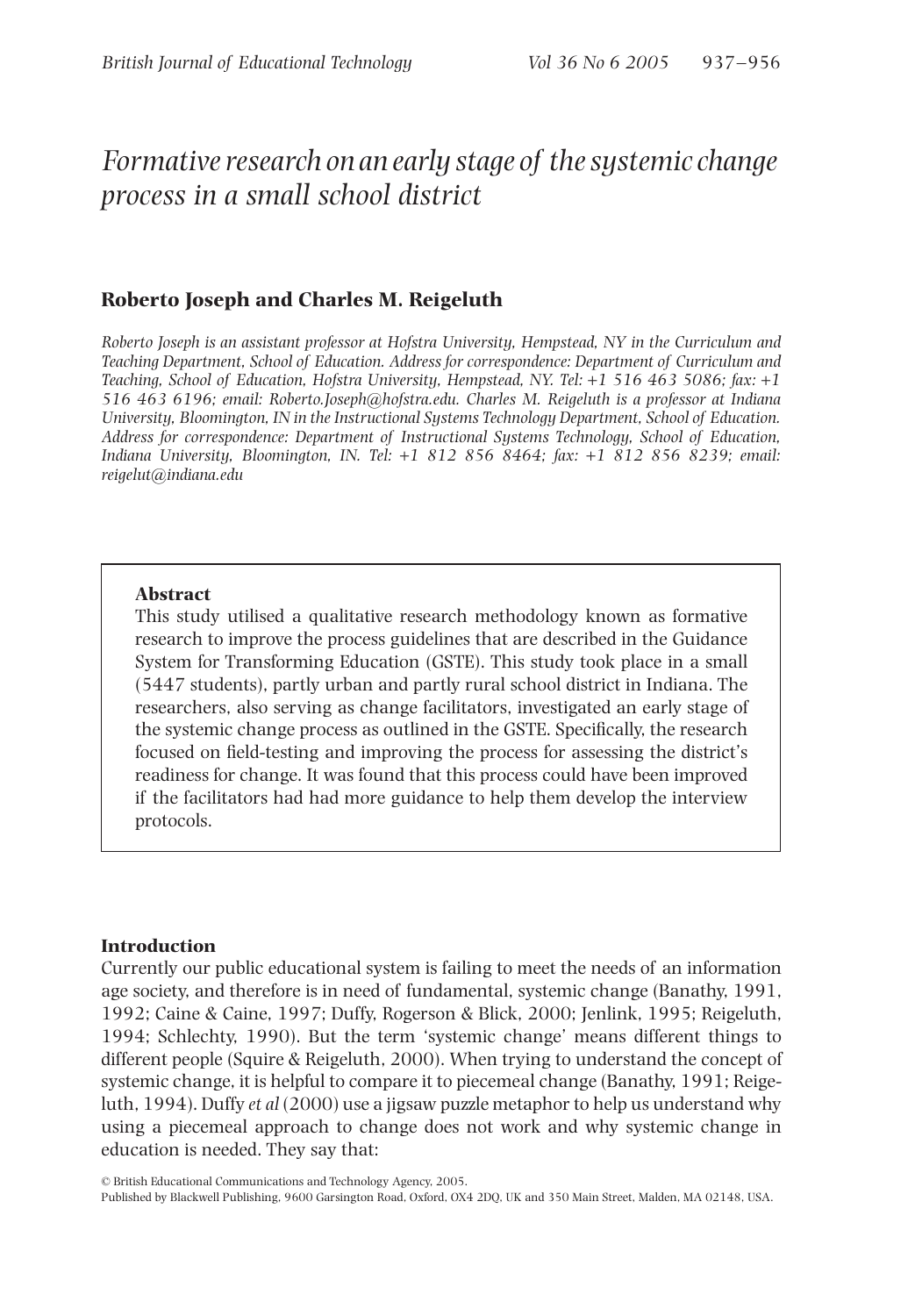# *Formative research on an early stage of the systemic change process in a small school district*

# **Roberto Joseph and Charles M. Reigeluth**

*Roberto Joseph is an assistant professor at Hofstra University, Hempstead, NY in the Curriculum and Teaching Department, School of Education. Address for correspondence: Department of Curriculum and Teaching, School of Education, Hofstra University, Hempstead, NY. Tel:* +*1 516 463 5086; fax:* +*1 516 463 6196; email: Roberto.[Joseph@hofstra.edu.](mailto:Joseph@hofstra.edu) Charles M. Reigeluth is a professor at Indiana University, Bloomington, IN in the Instructional Systems Technology Department, School of Education. Address for correspondence: Department of Instructional Systems Technology, School of Education, Indiana University, Bloomington, IN. Tel:* +*1 812 856 8464; fax:* +*1 812 856 8239; email: [reigelut@indiana.edu](mailto:reigelut@indiana.edu)*

#### **Abstract**

This study utilised a qualitative research methodology known as formative research to improve the process guidelines that are described in the Guidance System for Transforming Education (GSTE). This study took place in a small (5447 students), partly urban and partly rural school district in Indiana. The researchers, also serving as change facilitators, investigated an early stage of the systemic change process as outlined in the GSTE. Specifically, the research focused on field-testing and improving the process for assessing the district's readiness for change. It was found that this process could have been improved if the facilitators had had more guidance to help them develop the interview protocols.

#### **Introduction**

Currently our public educational system is failing to meet the needs of an information age society, and therefore is in need of fundamental, systemic change (Banathy, 1991, 1992; Caine & Caine, 1997; Duffy, Rogerson & Blick, 2000; Jenlink, 1995; Reigeluth, 1994; Schlechty, 1990). But the term 'systemic change' means different things to different people (Squire & Reigeluth, 2000). When trying to understand the concept of systemic change, it is helpful to compare it to piecemeal change (Banathy, 1991; Reigeluth, 1994). Duffy *et al* (2000) use a jigsaw puzzle metaphor to help us understand why using a piecemeal approach to change does not work and why systemic change in education is needed. They say that:

© British Educational Communications and Technology Agency, 2005.

Published by Blackwell Publishing, 9600 Garsington Road, Oxford, OX4 2DQ, UK and 350 Main Street, Malden, MA 02148, USA.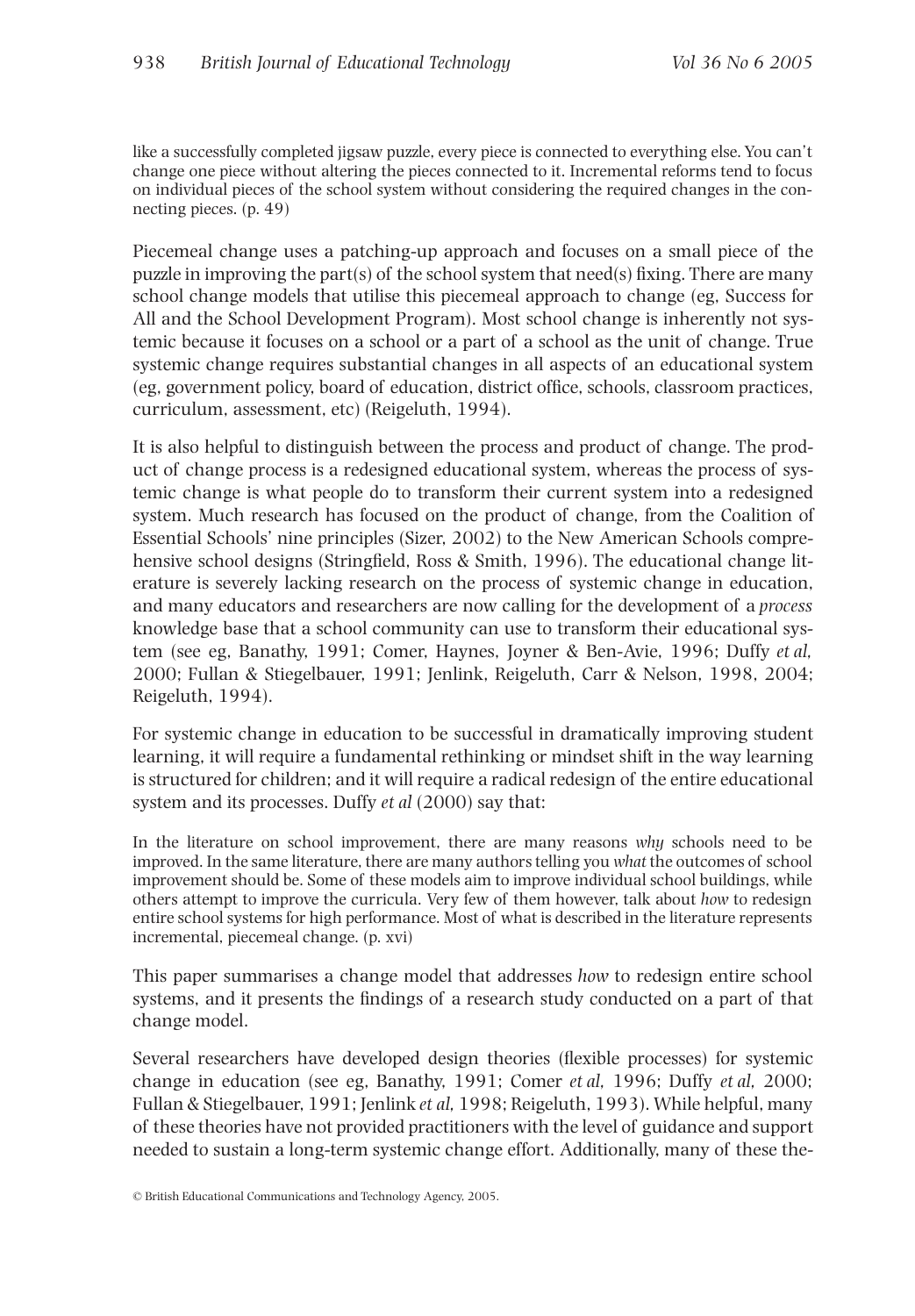like a successfully completed jigsaw puzzle, every piece is connected to everything else. You can't change one piece without altering the pieces connected to it. Incremental reforms tend to focus on individual pieces of the school system without considering the required changes in the connecting pieces. (p. 49)

Piecemeal change uses a patching-up approach and focuses on a small piece of the puzzle in improving the part(s) of the school system that need(s) fixing. There are many school change models that utilise this piecemeal approach to change (eg, Success for All and the School Development Program). Most school change is inherently not systemic because it focuses on a school or a part of a school as the unit of change. True systemic change requires substantial changes in all aspects of an educational system (eg, government policy, board of education, district office, schools, classroom practices, curriculum, assessment, etc) (Reigeluth, 1994).

It is also helpful to distinguish between the process and product of change. The product of change process is a redesigned educational system, whereas the process of systemic change is what people do to transform their current system into a redesigned system. Much research has focused on the product of change, from the Coalition of Essential Schools' nine principles (Sizer, 2002) to the New American Schools comprehensive school designs (Stringfield, Ross & Smith, 1996). The educational change literature is severely lacking research on the process of systemic change in education, and many educators and researchers are now calling for the development of a *process* knowledge base that a school community can use to transform their educational system (see eg, Banathy, 1991; Comer, Haynes, Joyner & Ben-Avie, 1996; Duffy *et al,* 2000; Fullan & Stiegelbauer, 1991; Jenlink, Reigeluth, Carr & Nelson, 1998, 2004; Reigeluth, 1994).

For systemic change in education to be successful in dramatically improving student learning, it will require a fundamental rethinking or mindset shift in the way learning is structured for children; and it will require a radical redesign of the entire educational system and its processes. Duffy *et al* (2000) say that:

In the literature on school improvement, there are many reasons *why* schools need to be improved. In the same literature, there are many authors telling you *what* the outcomes of school improvement should be. Some of these models aim to improve individual school buildings, while others attempt to improve the curricula. Very few of them however, talk about *how* to redesign entire school systems for high performance. Most of what is described in the literature represents incremental, piecemeal change. (p. xvi)

This paper summarises a change model that addresses *how* to redesign entire school systems, and it presents the findings of a research study conducted on a part of that change model.

Several researchers have developed design theories (flexible processes) for systemic change in education (see eg, Banathy, 1991; Comer *et al,* 1996; Duffy *et al,* 2000; Fullan & Stiegelbauer, 1991; Jenlink *et al,* 1998; Reigeluth, 1993). While helpful, many of these theories have not provided practitioners with the level of guidance and support needed to sustain a long-term systemic change effort. Additionally, many of these the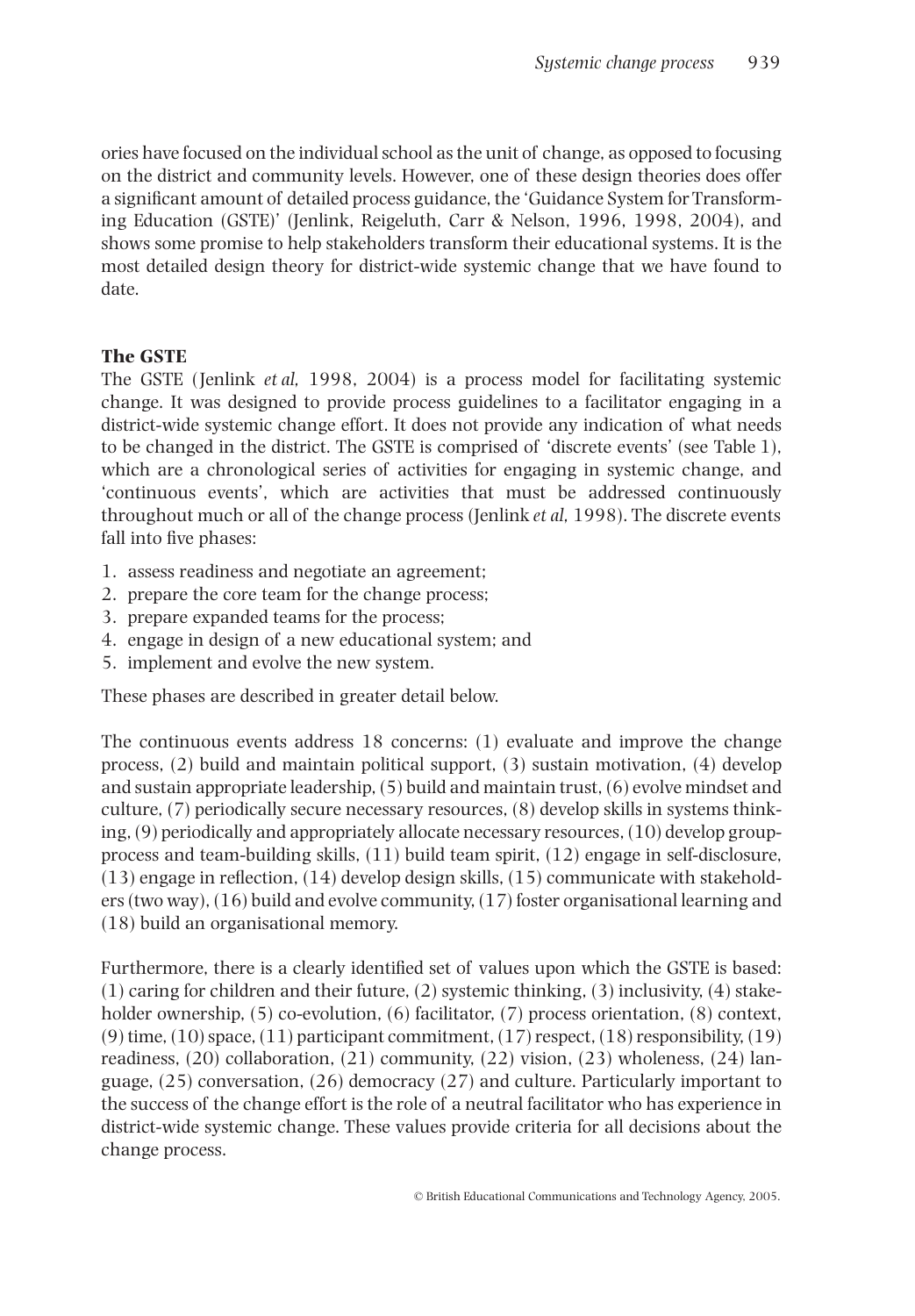ories have focused on the individual school as the unit of change, as opposed to focusing on the district and community levels. However, one of these design theories does offer a significant amount of detailed process guidance, the 'Guidance System for Transforming Education (GSTE)' (Jenlink, Reigeluth, Carr & Nelson, 1996, 1998, 2004), and shows some promise to help stakeholders transform their educational systems. It is the most detailed design theory for district-wide systemic change that we have found to date.

# **The GSTE**

The GSTE (Jenlink *et al,* 1998, 2004) is a process model for facilitating systemic change. It was designed to provide process guidelines to a facilitator engaging in a district-wide systemic change effort. It does not provide any indication of what needs to be changed in the district. The GSTE is comprised of 'discrete events' (see Table 1), which are a chronological series of activities for engaging in systemic change, and 'continuous events', which are activities that must be addressed continuously throughout much or all of the change process (Jenlink *et al,* 1998). The discrete events fall into five phases:

- 1. assess readiness and negotiate an agreement;
- 2. prepare the core team for the change process;
- 3. prepare expanded teams for the process;
- 4. engage in design of a new educational system; and
- 5. implement and evolve the new system.

These phases are described in greater detail below.

The continuous events address 18 concerns: (1) evaluate and improve the change process, (2) build and maintain political support, (3) sustain motivation, (4) develop and sustain appropriate leadership, (5) build and maintain trust, (6) evolve mindset and culture, (7) periodically secure necessary resources, (8) develop skills in systems thinking, (9) periodically and appropriately allocate necessary resources, (10) develop groupprocess and team-building skills, (11) build team spirit, (12) engage in self-disclosure, (13) engage in reflection, (14) develop design skills, (15) communicate with stakeholders (two way), (16) build and evolve community, (17) foster organisational learning and (18) build an organisational memory.

Furthermore, there is a clearly identified set of values upon which the GSTE is based:  $(1)$  caring for children and their future,  $(2)$  systemic thinking,  $(3)$  inclusivity,  $(4)$  stakeholder ownership, (5) co-evolution, (6) facilitator, (7) process orientation, (8) context, (9) time, (10) space, (11) participant commitment, (17) respect, (18) responsibility, (19) readiness, (20) collaboration, (21) community, (22) vision, (23) wholeness, (24) language, (25) conversation, (26) democracy (27) and culture. Particularly important to the success of the change effort is the role of a neutral facilitator who has experience in district-wide systemic change. These values provide criteria for all decisions about the change process.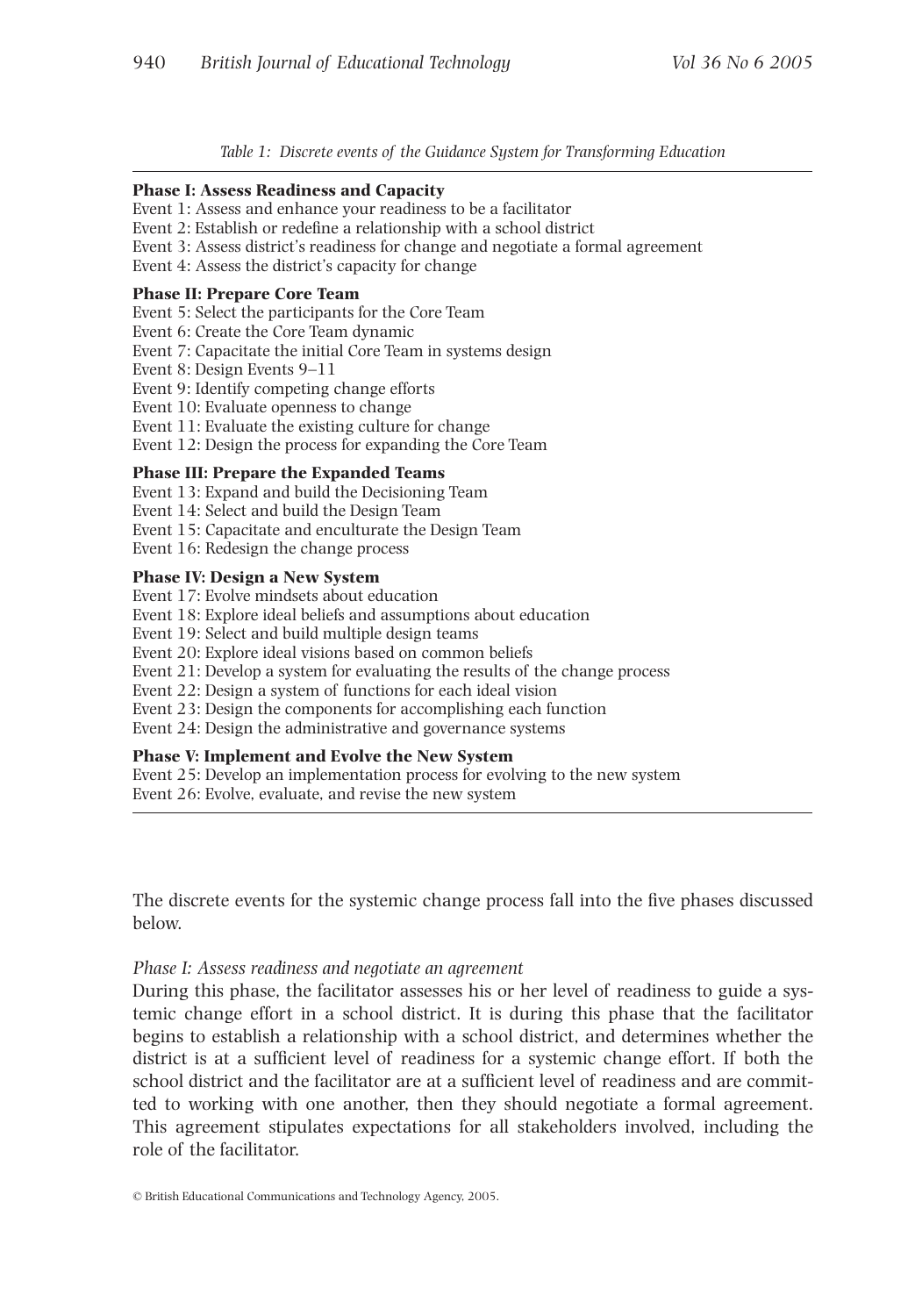*Table 1: Discrete events of the Guidance System for Transforming Education*

#### **Phase I: Assess Readiness and Capacity**

- Event 1: Assess and enhance your readiness to be a facilitator
- Event 2: Establish or redefine a relationship with a school district
- Event 3: Assess district's readiness for change and negotiate a formal agreement
- Event 4: Assess the district's capacity for change

#### **Phase II: Prepare Core Team**

Event 5: Select the participants for the Core Team

Event 6: Create the Core Team dynamic

Event 7: Capacitate the initial Core Team in systems design

Event 8: Design Events 9–11

Event 9: Identify competing change efforts

Event 10: Evaluate openness to change

Event 11: Evaluate the existing culture for change

Event 12: Design the process for expanding the Core Team

#### **Phase III: Prepare the Expanded Teams**

Event 13: Expand and build the Decisioning Team

Event 14: Select and build the Design Team

Event 15: Capacitate and enculturate the Design Team

Event 16: Redesign the change process

#### **Phase IV: Design a New System**

Event 17: Evolve mindsets about education

Event 18: Explore ideal beliefs and assumptions about education

Event 19: Select and build multiple design teams

Event 20: Explore ideal visions based on common beliefs

Event 21: Develop a system for evaluating the results of the change process

Event 22: Design a system of functions for each ideal vision

Event 23: Design the components for accomplishing each function

Event 24: Design the administrative and governance systems

#### **Phase V: Implement and Evolve the New System**

Event 25: Develop an implementation process for evolving to the new system

Event 26: Evolve, evaluate, and revise the new system

The discrete events for the systemic change process fall into the five phases discussed below.

#### *Phase I: Assess readiness and negotiate an agreement*

During this phase, the facilitator assesses his or her level of readiness to guide a systemic change effort in a school district. It is during this phase that the facilitator begins to establish a relationship with a school district, and determines whether the district is at a sufficient level of readiness for a systemic change effort. If both the school district and the facilitator are at a sufficient level of readiness and are committed to working with one another, then they should negotiate a formal agreement. This agreement stipulates expectations for all stakeholders involved, including the role of the facilitator.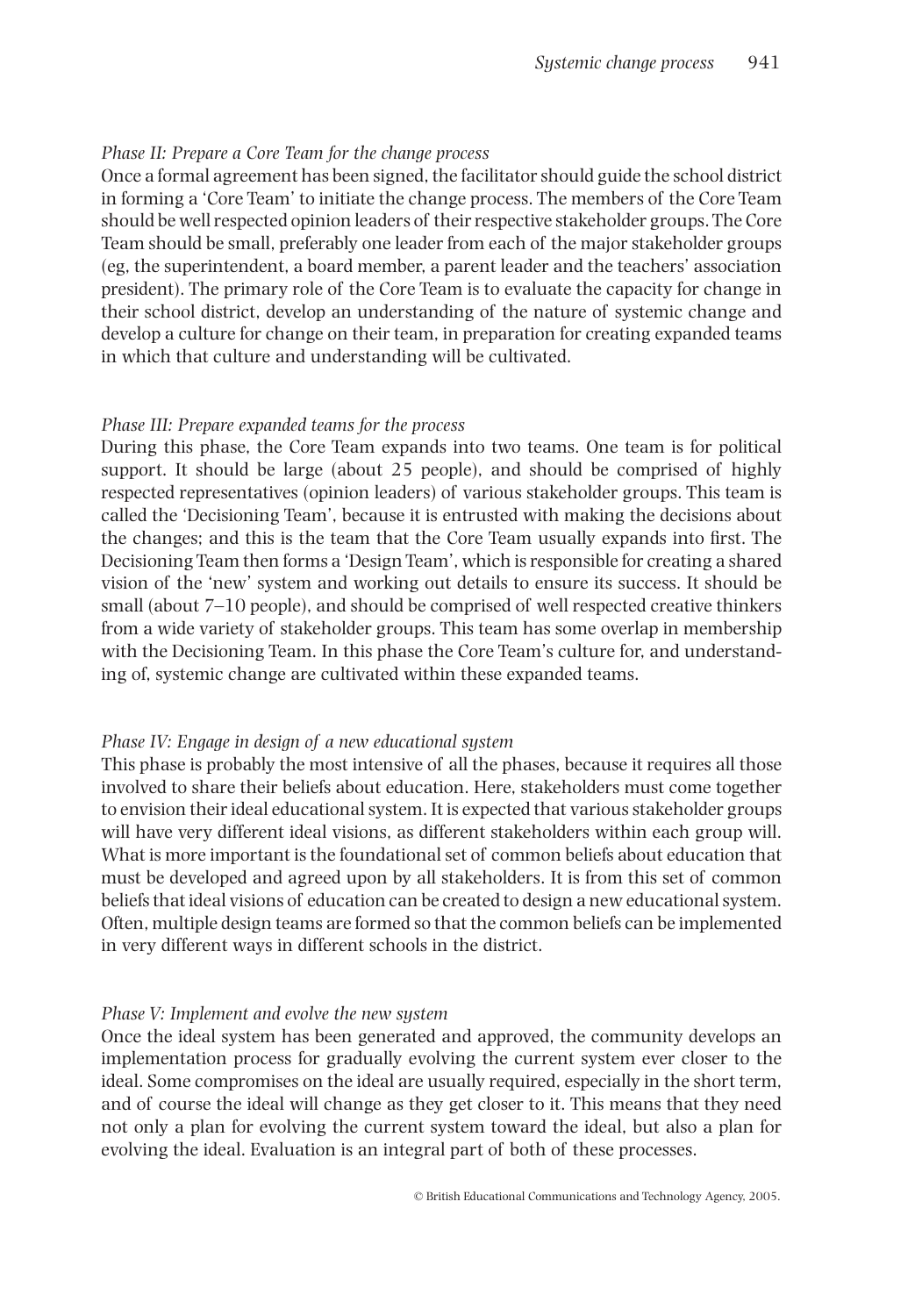# *Phase II: Prepare a Core Team for the change process*

Once a formal agreement has been signed, the facilitator should guide the school district in forming a 'Core Team' to initiate the change process. The members of the Core Team should be well respected opinion leaders of their respective stakeholder groups. The Core Team should be small, preferably one leader from each of the major stakeholder groups (eg, the superintendent, a board member, a parent leader and the teachers' association president). The primary role of the Core Team is to evaluate the capacity for change in their school district, develop an understanding of the nature of systemic change and develop a culture for change on their team, in preparation for creating expanded teams in which that culture and understanding will be cultivated.

# *Phase III: Prepare expanded teams for the process*

During this phase, the Core Team expands into two teams. One team is for political support. It should be large (about 25 people), and should be comprised of highly respected representatives (opinion leaders) of various stakeholder groups. This team is called the 'Decisioning Team', because it is entrusted with making the decisions about the changes; and this is the team that the Core Team usually expands into first. The Decisioning Team then forms a 'Design Team', which is responsible for creating a shared vision of the 'new' system and working out details to ensure its success. It should be small (about 7–10 people), and should be comprised of well respected creative thinkers from a wide variety of stakeholder groups. This team has some overlap in membership with the Decisioning Team. In this phase the Core Team's culture for, and understanding of, systemic change are cultivated within these expanded teams.

# *Phase IV: Engage in design of a new educational system*

This phase is probably the most intensive of all the phases, because it requires all those involved to share their beliefs about education. Here, stakeholders must come together to envision their ideal educational system. It is expected that various stakeholder groups will have very different ideal visions, as different stakeholders within each group will. What is more important is the foundational set of common beliefs about education that must be developed and agreed upon by all stakeholders. It is from this set of common beliefs that ideal visions of education can be created to design a new educational system. Often, multiple design teams are formed so that the common beliefs can be implemented in very different ways in different schools in the district.

# *Phase V: Implement and evolve the new system*

Once the ideal system has been generated and approved, the community develops an implementation process for gradually evolving the current system ever closer to the ideal. Some compromises on the ideal are usually required, especially in the short term, and of course the ideal will change as they get closer to it. This means that they need not only a plan for evolving the current system toward the ideal, but also a plan for evolving the ideal. Evaluation is an integral part of both of these processes.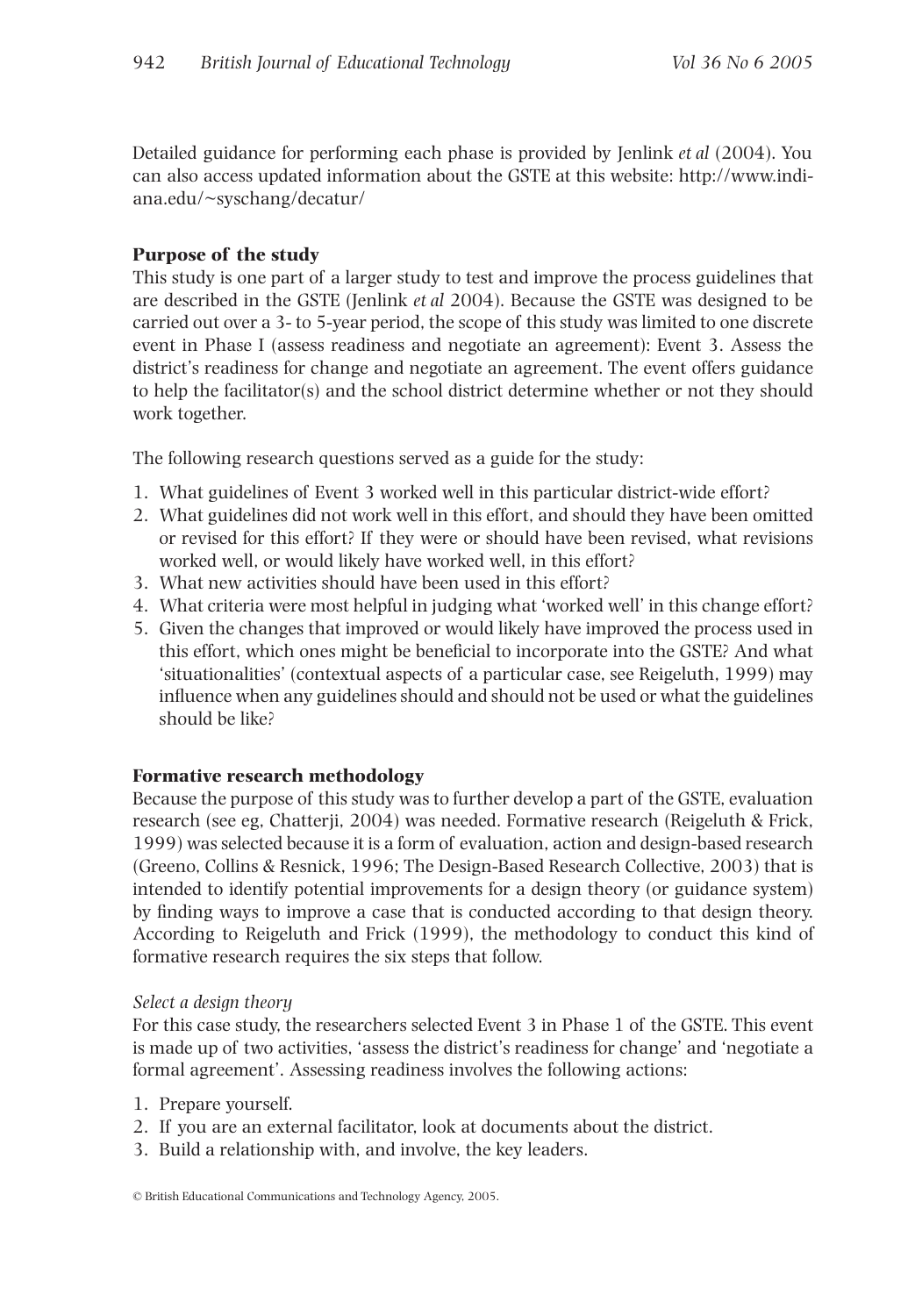Detailed guidance for performing each phase is provided by Jenlink *et al* (2004). You [can also access updated information about the GSTE at this website: http://www.indi](http://www.indi-ana.edu/~syschang/decatur)ana.[edu/~syschang/decatur/](http://www.indi-ana.edu/~syschang/decatur)

# **Purpose of the study**

This study is one part of a larger study to test and improve the process guidelines that are described in the GSTE (Jenlink *et al* 2004). Because the GSTE was designed to be carried out over a 3- to 5-year period, the scope of this study was limited to one discrete event in Phase I (assess readiness and negotiate an agreement): Event 3. Assess the district's readiness for change and negotiate an agreement. The event offers guidance to help the facilitator(s) and the school district determine whether or not they should work together.

The following research questions served as a guide for the study:

- 1. What guidelines of Event 3 worked well in this particular district-wide effort?
- 2. What guidelines did not work well in this effort, and should they have been omitted or revised for this effort? If they were or should have been revised, what revisions worked well, or would likely have worked well, in this effort?
- 3. What new activities should have been used in this effort?
- 4. What criteria were most helpful in judging what 'worked well' in this change effort?
- 5. Given the changes that improved or would likely have improved the process used in this effort, which ones might be beneficial to incorporate into the GSTE? And what 'situationalities' (contextual aspects of a particular case, see Reigeluth, 1999) may influence when any guidelines should and should not be used or what the guidelines should be like?

# **Formative research methodology**

Because the purpose of this study was to further develop a part of the GSTE, evaluation research (see eg, Chatterji, 2004) was needed. Formative research (Reigeluth & Frick, 1999) was selected because it is a form of evaluation, action and design-based research (Greeno, Collins & Resnick, 1996; The Design-Based Research Collective, 2003) that is intended to identify potential improvements for a design theory (or guidance system) by finding ways to improve a case that is conducted according to that design theory. According to Reigeluth and Frick (1999), the methodology to conduct this kind of formative research requires the six steps that follow.

# *Select a design theory*

For this case study, the researchers selected Event 3 in Phase 1 of the GSTE. This event is made up of two activities, 'assess the district's readiness for change' and 'negotiate a formal agreement'. Assessing readiness involves the following actions:

- 1. Prepare yourself.
- 2. If you are an external facilitator, look at documents about the district.
- 3. Build a relationship with, and involve, the key leaders.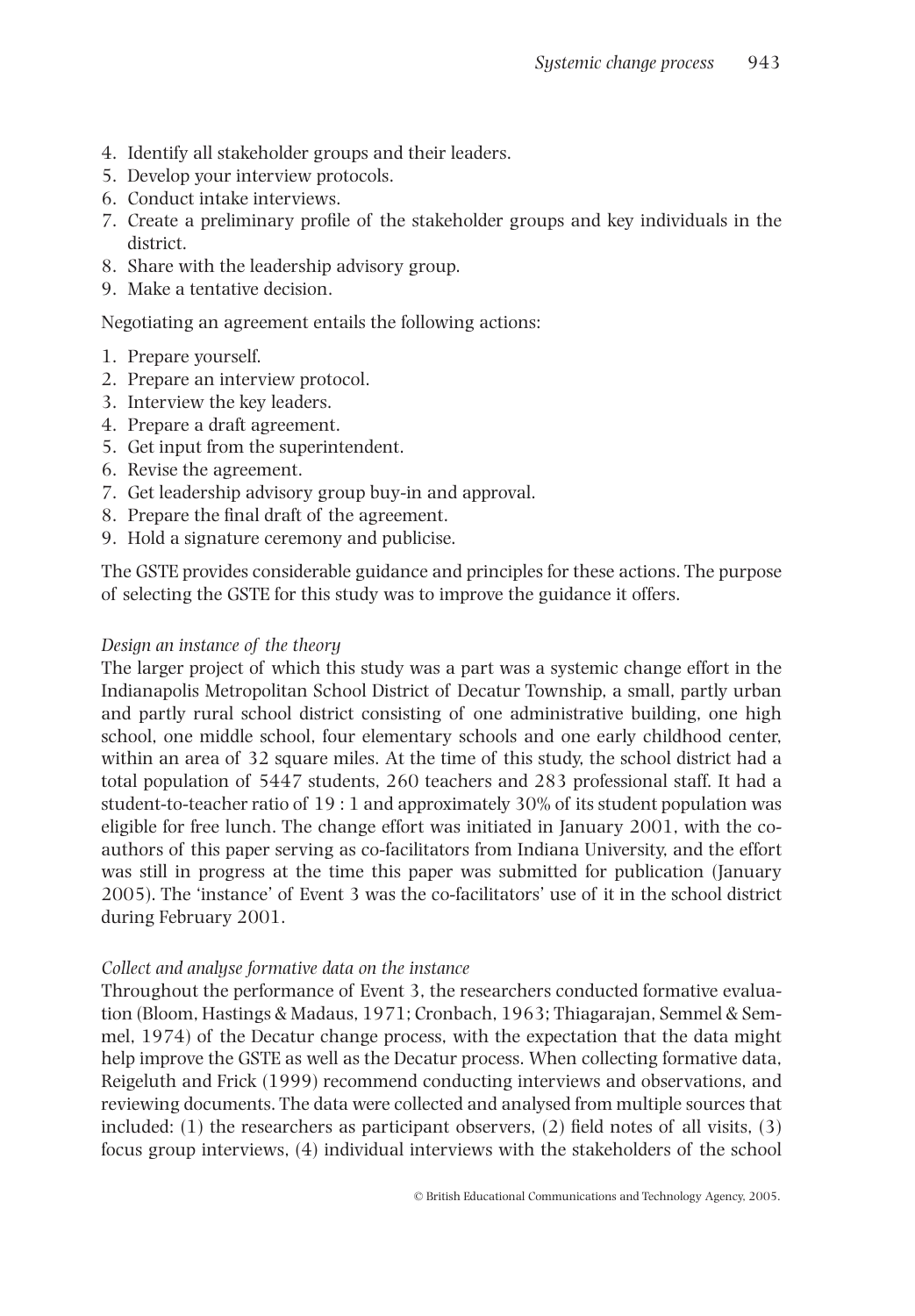- 4. Identify all stakeholder groups and their leaders.
- 5. Develop your interview protocols.
- 6. Conduct intake interviews.
- 7. Create a preliminary profile of the stakeholder groups and key individuals in the district.
- 8. Share with the leadership advisory group.
- 9. Make a tentative decision.

Negotiating an agreement entails the following actions:

- 1. Prepare yourself.
- 2. Prepare an interview protocol.
- 3. Interview the key leaders.
- 4. Prepare a draft agreement.
- 5. Get input from the superintendent.
- 6. Revise the agreement.
- 7. Get leadership advisory group buy-in and approval.
- 8. Prepare the final draft of the agreement.
- 9. Hold a signature ceremony and publicise.

The GSTE provides considerable guidance and principles for these actions. The purpose of selecting the GSTE for this study was to improve the guidance it offers.

# *Design an instance of the theory*

The larger project of which this study was a part was a systemic change effort in the Indianapolis Metropolitan School District of Decatur Township, a small, partly urban and partly rural school district consisting of one administrative building, one high school, one middle school, four elementary schools and one early childhood center, within an area of 32 square miles. At the time of this study, the school district had a total population of 5447 students, 260 teachers and 283 professional staff. It had a student-to-teacher ratio of 19 : 1 and approximately 30% of its student population was eligible for free lunch. The change effort was initiated in January 2001, with the coauthors of this paper serving as co-facilitators from Indiana University, and the effort was still in progress at the time this paper was submitted for publication (January 2005). The 'instance' of Event 3 was the co-facilitators' use of it in the school district during February 2001.

# *Collect and analyse formative data on the instance*

Throughout the performance of Event 3, the researchers conducted formative evaluation (Bloom, Hastings & Madaus, 1971; Cronbach, 1963; Thiagarajan, Semmel & Semmel, 1974) of the Decatur change process, with the expectation that the data might help improve the GSTE as well as the Decatur process. When collecting formative data, Reigeluth and Frick (1999) recommend conducting interviews and observations, and reviewing documents. The data were collected and analysed from multiple sources that included: (1) the researchers as participant observers, (2) field notes of all visits, (3) focus group interviews, (4) individual interviews with the stakeholders of the school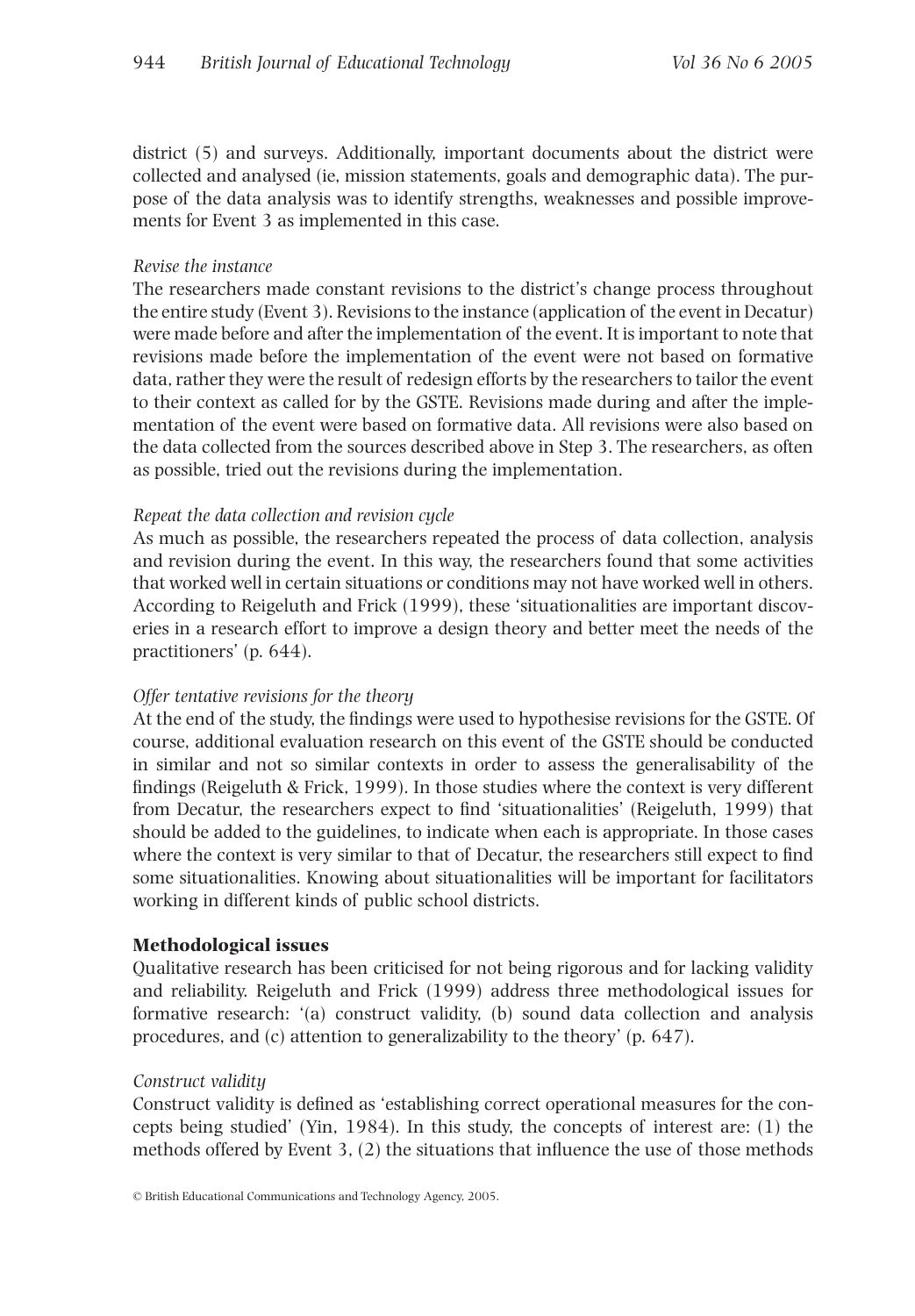district (5) and surveys. Additionally, important documents about the district were collected and analysed (ie, mission statements, goals and demographic data). The purpose of the data analysis was to identify strengths, weaknesses and possible improvements for Event 3 as implemented in this case.

# *Revise the instance*

The researchers made constant revisions to the district's change process throughout the entire study (Event 3). Revisions to the instance (application of the event in Decatur) were made before and after the implementation of the event. It is important to note that revisions made before the implementation of the event were not based on formative data, rather they were the result of redesign efforts by the researchers to tailor the event to their context as called for by the GSTE. Revisions made during and after the implementation of the event were based on formative data. All revisions were also based on the data collected from the sources described above in Step 3. The researchers, as often as possible, tried out the revisions during the implementation.

# *Repeat the data collection and revision cycle*

As much as possible, the researchers repeated the process of data collection, analysis and revision during the event. In this way, the researchers found that some activities that worked well in certain situations or conditions may not have worked well in others. According to Reigeluth and Frick (1999), these 'situationalities are important discoveries in a research effort to improve a design theory and better meet the needs of the practitioners' (p. 644).

# *Offer tentative revisions for the theory*

At the end of the study, the findings were used to hypothesise revisions for the GSTE. Of course, additional evaluation research on this event of the GSTE should be conducted in similar and not so similar contexts in order to assess the generalisability of the findings (Reigeluth & Frick, 1999). In those studies where the context is very different from Decatur, the researchers expect to find 'situationalities' (Reigeluth, 1999) that should be added to the guidelines, to indicate when each is appropriate. In those cases where the context is very similar to that of Decatur, the researchers still expect to find some situationalities. Knowing about situationalities will be important for facilitators working in different kinds of public school districts.

# **Methodological issues**

Qualitative research has been criticised for not being rigorous and for lacking validity and reliability. Reigeluth and Frick (1999) address three methodological issues for formative research: '(a) construct validity, (b) sound data collection and analysis procedures, and (c) attention to generalizability to the theory' (p. 647).

# *Construct validity*

Construct validity is defined as 'establishing correct operational measures for the concepts being studied' (Yin, 1984). In this study, the concepts of interest are: (1) the methods offered by Event 3, (2) the situations that influence the use of those methods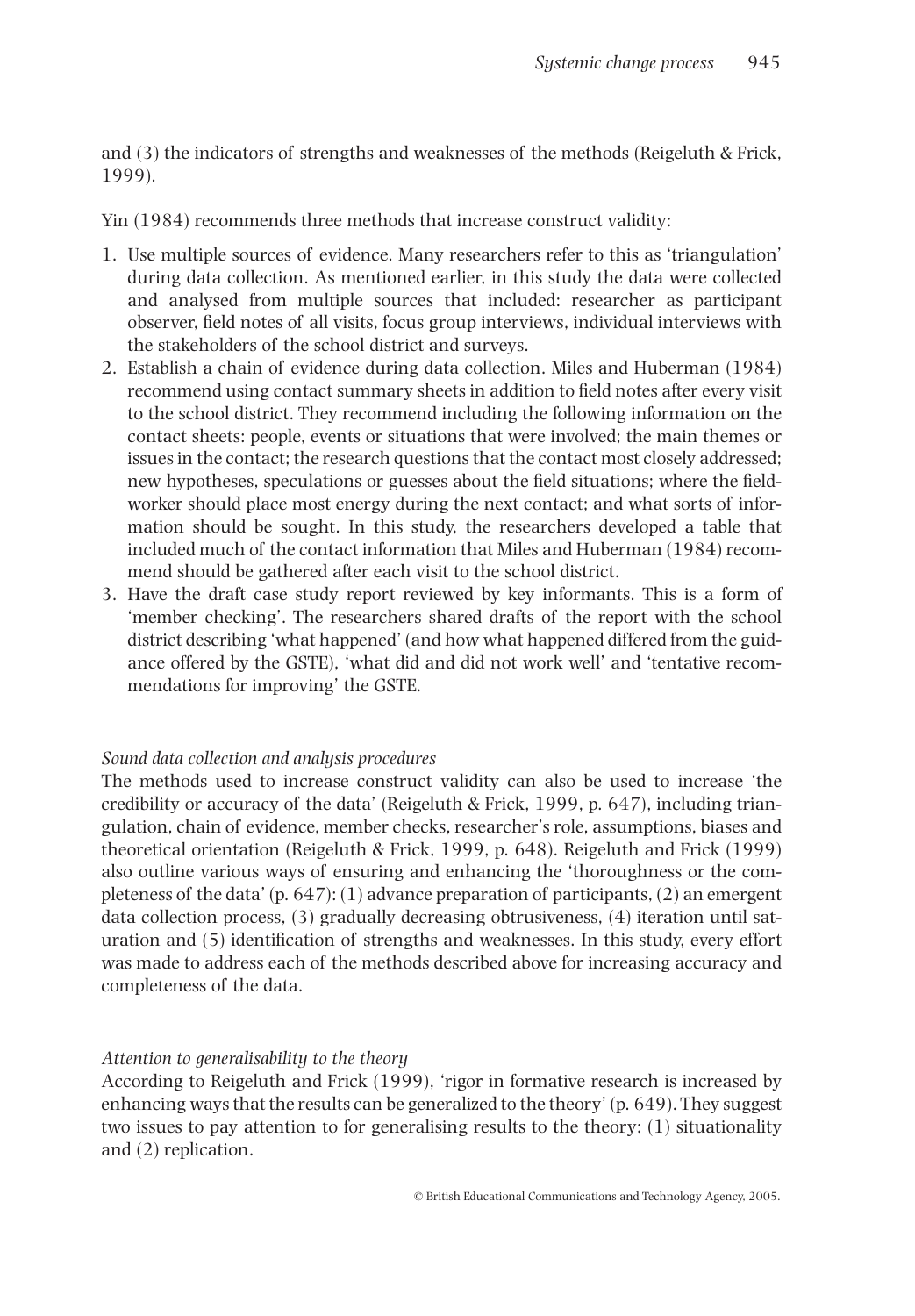and (3) the indicators of strengths and weaknesses of the methods (Reigeluth & Frick, 1999).

Yin (1984) recommends three methods that increase construct validity:

- 1. Use multiple sources of evidence. Many researchers refer to this as 'triangulation' during data collection. As mentioned earlier, in this study the data were collected and analysed from multiple sources that included: researcher as participant observer, field notes of all visits, focus group interviews, individual interviews with the stakeholders of the school district and surveys.
- 2. Establish a chain of evidence during data collection. Miles and Huberman (1984) recommend using contact summary sheets in addition to field notes after every visit to the school district. They recommend including the following information on the contact sheets: people, events or situations that were involved; the main themes or issues in the contact; the research questions that the contact most closely addressed; new hypotheses, speculations or guesses about the field situations; where the fieldworker should place most energy during the next contact; and what sorts of information should be sought. In this study, the researchers developed a table that included much of the contact information that Miles and Huberman (1984) recommend should be gathered after each visit to the school district.
- 3. Have the draft case study report reviewed by key informants. This is a form of 'member checking'. The researchers shared drafts of the report with the school district describing 'what happened' (and how what happened differed from the guidance offered by the GSTE), 'what did and did not work well' and 'tentative recommendations for improving' the GSTE.

# *Sound data collection and analysis procedures*

The methods used to increase construct validity can also be used to increase 'the credibility or accuracy of the data' (Reigeluth & Frick, 1999, p. 647), including triangulation, chain of evidence, member checks, researcher's role, assumptions, biases and theoretical orientation (Reigeluth & Frick, 1999, p. 648). Reigeluth and Frick (1999) also outline various ways of ensuring and enhancing the 'thoroughness or the completeness of the data' (p. 647): (1) advance preparation of participants, (2) an emergent data collection process, (3) gradually decreasing obtrusiveness, (4) iteration until saturation and (5) identification of strengths and weaknesses. In this study, every effort was made to address each of the methods described above for increasing accuracy and completeness of the data.

# *Attention to generalisability to the theory*

According to Reigeluth and Frick (1999), 'rigor in formative research is increased by enhancing ways that the results can be generalized to the theory' (p. 649). They suggest two issues to pay attention to for generalising results to the theory: (1) situationality and (2) replication.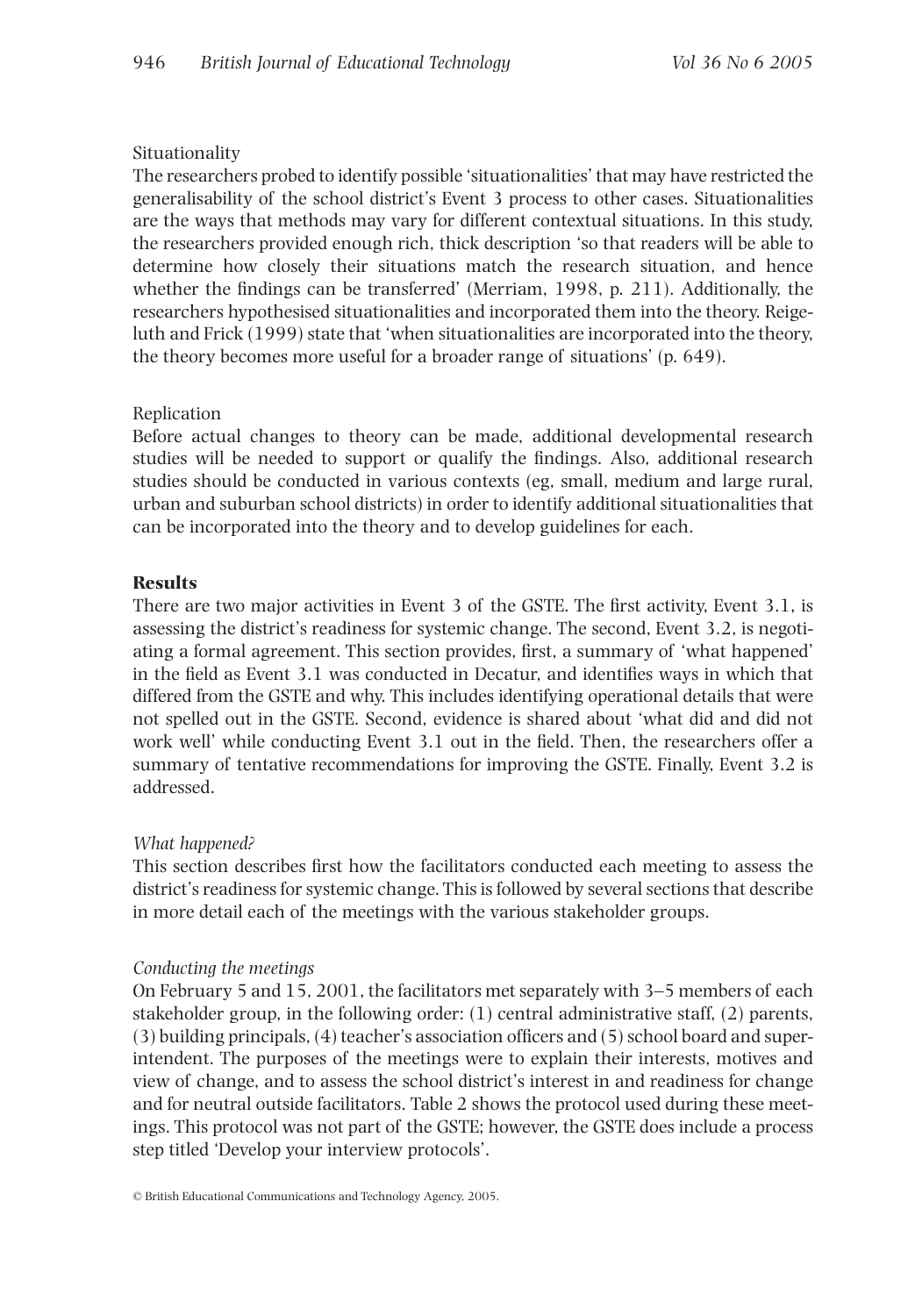# Situationality

The researchers probed to identify possible 'situationalities' that may have restricted the generalisability of the school district's Event 3 process to other cases. Situationalities are the ways that methods may vary for different contextual situations. In this study, the researchers provided enough rich, thick description 'so that readers will be able to determine how closely their situations match the research situation, and hence whether the findings can be transferred' (Merriam, 1998, p. 211). Additionally, the researchers hypothesised situationalities and incorporated them into the theory. Reigeluth and Frick (1999) state that 'when situationalities are incorporated into the theory, the theory becomes more useful for a broader range of situations' (p. 649).

# Replication

Before actual changes to theory can be made, additional developmental research studies will be needed to support or qualify the findings. Also, additional research studies should be conducted in various contexts (eg, small, medium and large rural, urban and suburban school districts) in order to identify additional situationalities that can be incorporated into the theory and to develop guidelines for each.

# **Results**

There are two major activities in Event 3 of the GSTE. The first activity, Event 3.1, is assessing the district's readiness for systemic change. The second, Event 3.2, is negotiating a formal agreement. This section provides, first, a summary of 'what happened' in the field as Event 3.1 was conducted in Decatur, and identifies ways in which that differed from the GSTE and why. This includes identifying operational details that were not spelled out in the GSTE. Second, evidence is shared about 'what did and did not work well' while conducting Event 3.1 out in the field. Then, the researchers offer a summary of tentative recommendations for improving the GSTE. Finally, Event 3.2 is addressed.

# *What happened?*

This section describes first how the facilitators conducted each meeting to assess the district's readiness for systemic change. This is followed by several sections that describe in more detail each of the meetings with the various stakeholder groups.

# *Conducting the meetings*

On February 5 and 15, 2001, the facilitators met separately with 3–5 members of each stakeholder group, in the following order: (1) central administrative staff, (2) parents, (3) building principals, (4) teacher's association officers and (5) school board and superintendent. The purposes of the meetings were to explain their interests, motives and view of change, and to assess the school district's interest in and readiness for change and for neutral outside facilitators. Table 2 shows the protocol used during these meetings. This protocol was not part of the GSTE; however, the GSTE does include a process step titled 'Develop your interview protocols'.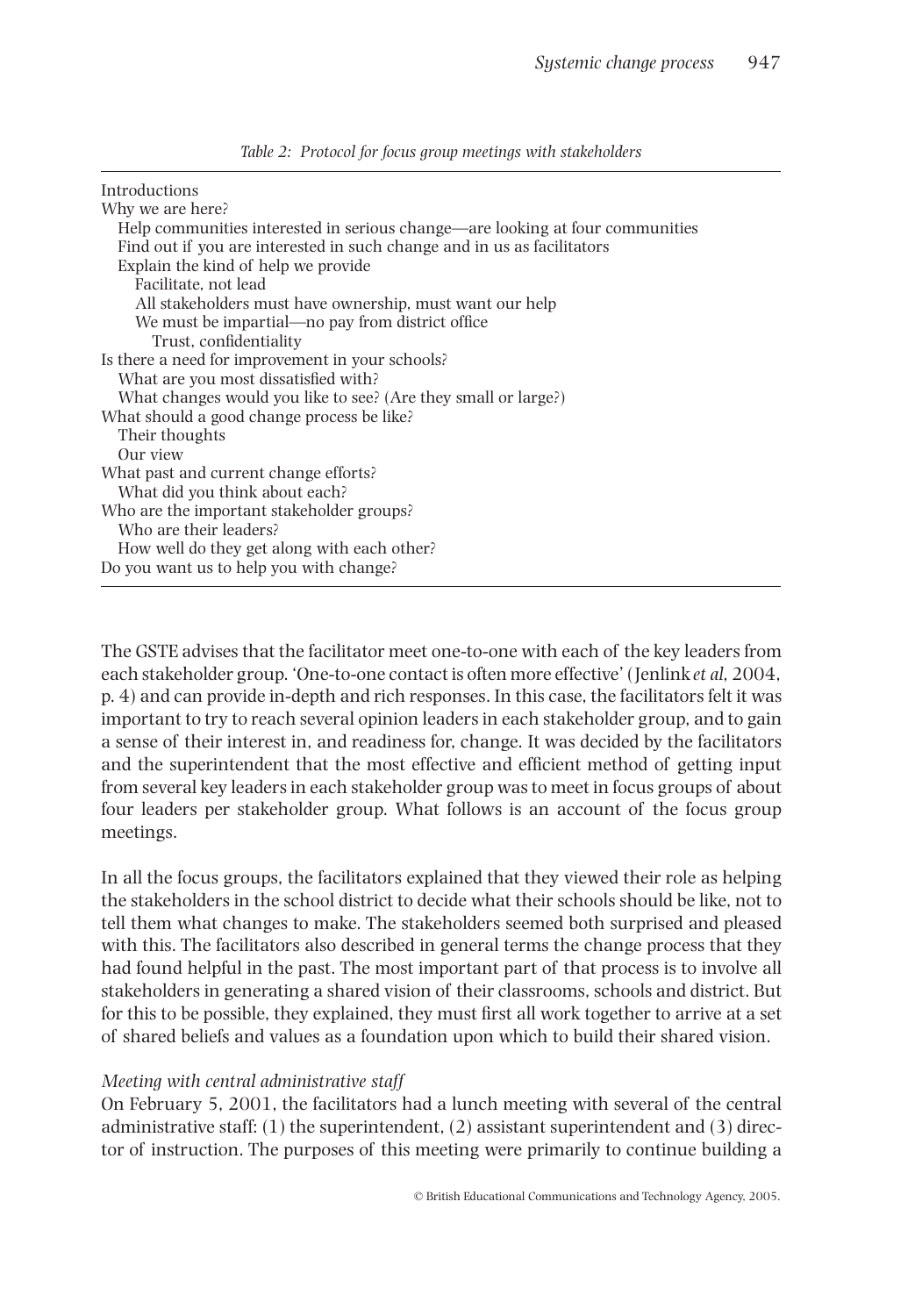| Introductions                                                                 |
|-------------------------------------------------------------------------------|
| Why we are here?                                                              |
| Help communities interested in serious change—are looking at four communities |
| Find out if you are interested in such change and in us as facilitators       |
| Explain the kind of help we provide                                           |
| Facilitate, not lead                                                          |
| All stakeholders must have ownership, must want our help                      |
| We must be impartial—no pay from district office                              |
| Trust, confidentiality                                                        |
| Is there a need for improvement in your schools?                              |
| What are you most dissatisfied with?                                          |
| What changes would you like to see? (Are they small or large?)                |
| What should a good change process be like?                                    |
| Their thoughts                                                                |
| Our view                                                                      |
| What past and current change efforts?                                         |
| What did you think about each?                                                |
| Who are the important stakeholder groups?                                     |
| Who are their leaders?                                                        |
| How well do they get along with each other?                                   |
| Do you want us to help you with change?                                       |

*Table 2: Protocol for focus group meetings with stakeholders*

The GSTE advises that the facilitator meet one-to-one with each of the key leaders from each stakeholder group. 'One-to-one contact is often more effective' (Jenlink *et al,* 2004, p. 4) and can provide in-depth and rich responses. In this case, the facilitators felt it was important to try to reach several opinion leaders in each stakeholder group, and to gain a sense of their interest in, and readiness for, change. It was decided by the facilitators and the superintendent that the most effective and efficient method of getting input from several key leaders in each stakeholder group was to meet in focus groups of about four leaders per stakeholder group. What follows is an account of the focus group meetings.

In all the focus groups, the facilitators explained that they viewed their role as helping the stakeholders in the school district to decide what their schools should be like, not to tell them what changes to make. The stakeholders seemed both surprised and pleased with this. The facilitators also described in general terms the change process that they had found helpful in the past. The most important part of that process is to involve all stakeholders in generating a shared vision of their classrooms, schools and district. But for this to be possible, they explained, they must first all work together to arrive at a set of shared beliefs and values as a foundation upon which to build their shared vision.

# *Meeting with central administrative staff*

On February 5, 2001, the facilitators had a lunch meeting with several of the central administrative staff: (1) the superintendent, (2) assistant superintendent and (3) director of instruction. The purposes of this meeting were primarily to continue building a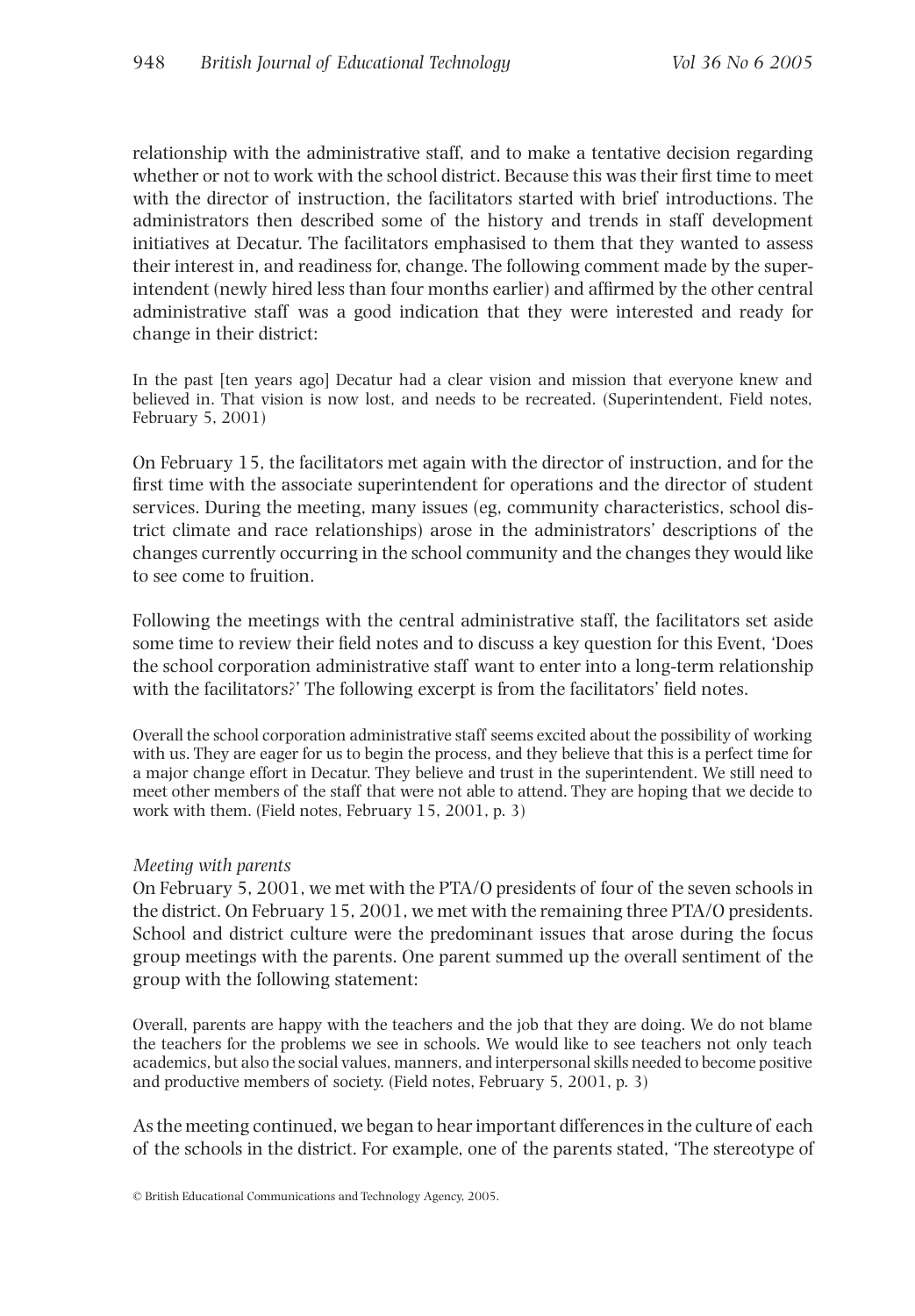relationship with the administrative staff, and to make a tentative decision regarding whether or not to work with the school district. Because this was their first time to meet with the director of instruction, the facilitators started with brief introductions. The administrators then described some of the history and trends in staff development initiatives at Decatur. The facilitators emphasised to them that they wanted to assess their interest in, and readiness for, change. The following comment made by the superintendent (newly hired less than four months earlier) and affirmed by the other central administrative staff was a good indication that they were interested and ready for change in their district:

In the past [ten years ago] Decatur had a clear vision and mission that everyone knew and believed in. That vision is now lost, and needs to be recreated. (Superintendent, Field notes, February 5, 2001)

On February 15, the facilitators met again with the director of instruction, and for the first time with the associate superintendent for operations and the director of student services. During the meeting, many issues (eg, community characteristics, school district climate and race relationships) arose in the administrators' descriptions of the changes currently occurring in the school community and the changes they would like to see come to fruition.

Following the meetings with the central administrative staff, the facilitators set aside some time to review their field notes and to discuss a key question for this Event, 'Does the school corporation administrative staff want to enter into a long-term relationship with the facilitators?' The following excerpt is from the facilitators' field notes.

Overall the school corporation administrative staff seems excited about the possibility of working with us. They are eager for us to begin the process, and they believe that this is a perfect time for a major change effort in Decatur. They believe and trust in the superintendent. We still need to meet other members of the staff that were not able to attend. They are hoping that we decide to work with them. (Field notes, February 15, 2001, p. 3)

# *Meeting with parents*

On February 5, 2001, we met with the PTA/O presidents of four of the seven schools in the district. On February 15, 2001, we met with the remaining three PTA/O presidents. School and district culture were the predominant issues that arose during the focus group meetings with the parents. One parent summed up the overall sentiment of the group with the following statement:

Overall, parents are happy with the teachers and the job that they are doing. We do not blame the teachers for the problems we see in schools. We would like to see teachers not only teach academics, but also the social values, manners, and interpersonal skills needed to become positive and productive members of society. (Field notes, February 5, 2001, p. 3)

As the meeting continued, we began to hear important differences in the culture of each of the schools in the district. For example, one of the parents stated, 'The stereotype of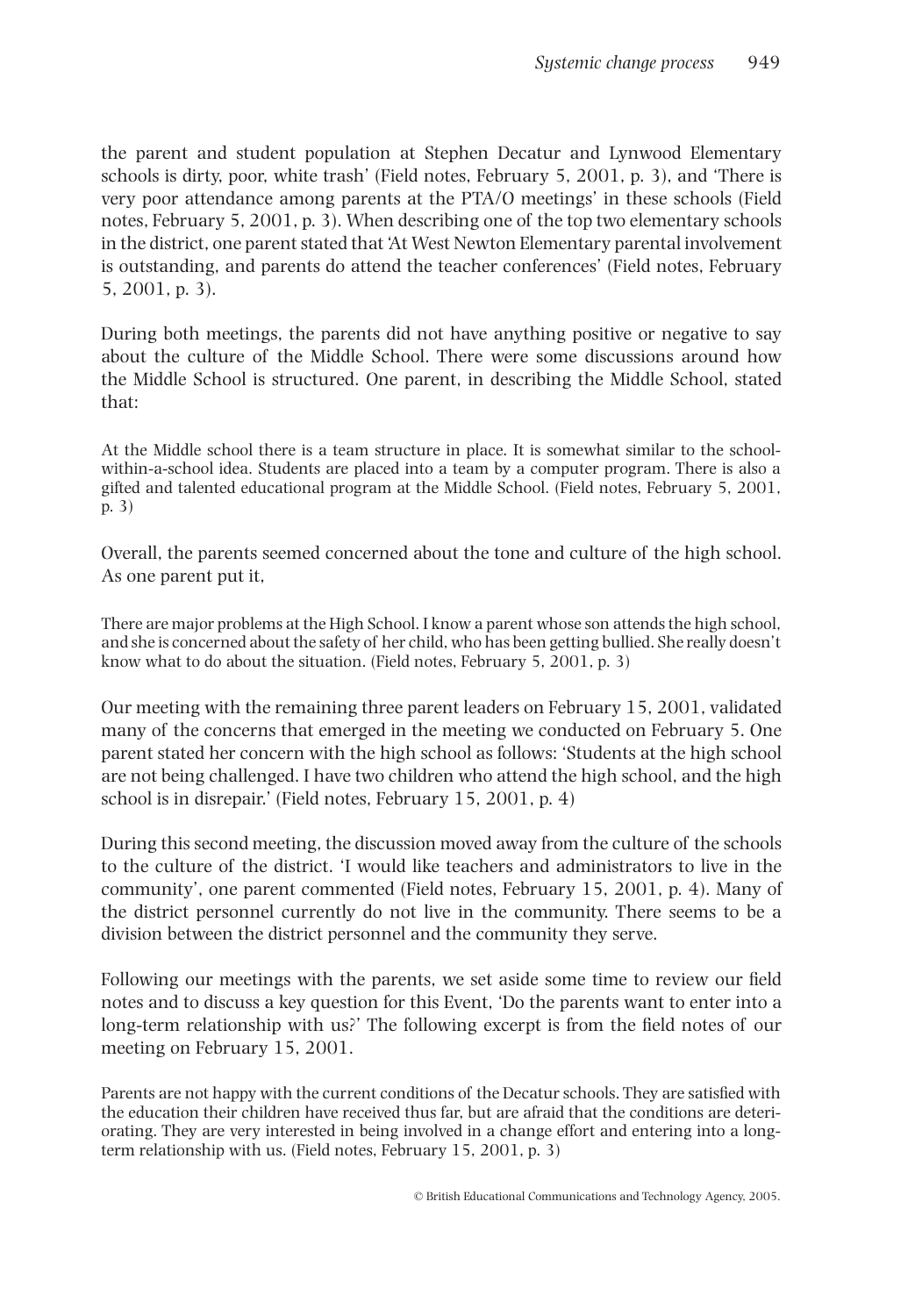the parent and student population at Stephen Decatur and Lynwood Elementary schools is dirty, poor, white trash' (Field notes, February 5, 2001, p. 3), and 'There is very poor attendance among parents at the PTA/O meetings' in these schools (Field notes, February 5, 2001, p. 3). When describing one of the top two elementary schools in the district, one parent stated that 'At West Newton Elementary parental involvement is outstanding, and parents do attend the teacher conferences' (Field notes, February 5, 2001, p. 3).

During both meetings, the parents did not have anything positive or negative to say about the culture of the Middle School. There were some discussions around how the Middle School is structured. One parent, in describing the Middle School, stated that:

At the Middle school there is a team structure in place. It is somewhat similar to the schoolwithin-a-school idea. Students are placed into a team by a computer program. There is also a gifted and talented educational program at the Middle School. (Field notes, February 5, 2001, p. 3)

Overall, the parents seemed concerned about the tone and culture of the high school. As one parent put it,

There are major problems at the High School. I know a parent whose son attends the high school, and she is concerned about the safety of her child, who has been getting bullied. She really doesn't know what to do about the situation. (Field notes, February 5, 2001, p. 3)

Our meeting with the remaining three parent leaders on February 15, 2001, validated many of the concerns that emerged in the meeting we conducted on February 5. One parent stated her concern with the high school as follows: 'Students at the high school are not being challenged. I have two children who attend the high school, and the high school is in disrepair.' (Field notes, February 15, 2001, p. 4)

During this second meeting, the discussion moved away from the culture of the schools to the culture of the district. 'I would like teachers and administrators to live in the community', one parent commented (Field notes, February 15, 2001, p. 4). Many of the district personnel currently do not live in the community. There seems to be a division between the district personnel and the community they serve.

Following our meetings with the parents, we set aside some time to review our field notes and to discuss a key question for this Event, 'Do the parents want to enter into a long-term relationship with us?' The following excerpt is from the field notes of our meeting on February 15, 2001.

Parents are not happy with the current conditions of the Decatur schools. They are satisfied with the education their children have received thus far, but are afraid that the conditions are deteriorating. They are very interested in being involved in a change effort and entering into a longterm relationship with us. (Field notes, February 15, 2001, p. 3)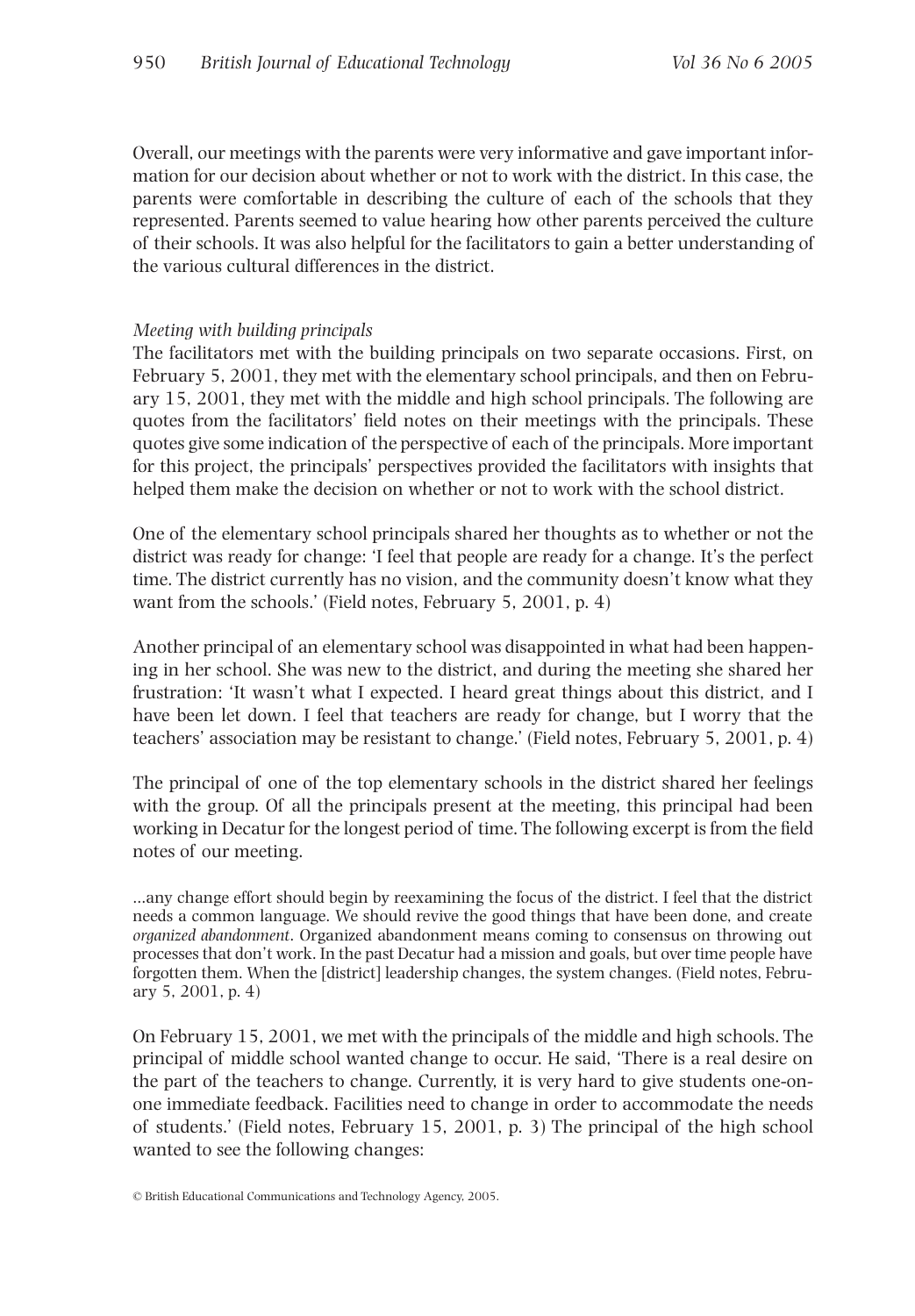Overall, our meetings with the parents were very informative and gave important information for our decision about whether or not to work with the district. In this case, the parents were comfortable in describing the culture of each of the schools that they represented. Parents seemed to value hearing how other parents perceived the culture of their schools. It was also helpful for the facilitators to gain a better understanding of the various cultural differences in the district.

# *Meeting with building principals*

The facilitators met with the building principals on two separate occasions. First, on February 5, 2001, they met with the elementary school principals, and then on February 15, 2001, they met with the middle and high school principals. The following are quotes from the facilitators' field notes on their meetings with the principals. These quotes give some indication of the perspective of each of the principals. More important for this project, the principals' perspectives provided the facilitators with insights that helped them make the decision on whether or not to work with the school district.

One of the elementary school principals shared her thoughts as to whether or not the district was ready for change: 'I feel that people are ready for a change. It's the perfect time. The district currently has no vision, and the community doesn't know what they want from the schools.' (Field notes, February 5, 2001, p. 4)

Another principal of an elementary school was disappointed in what had been happening in her school. She was new to the district, and during the meeting she shared her frustration: 'It wasn't what I expected. I heard great things about this district, and I have been let down. I feel that teachers are ready for change, but I worry that the teachers' association may be resistant to change.' (Field notes, February 5, 2001, p. 4)

The principal of one of the top elementary schools in the district shared her feelings with the group. Of all the principals present at the meeting, this principal had been working in Decatur for the longest period of time. The following excerpt is from the field notes of our meeting.

...any change effort should begin by reexamining the focus of the district. I feel that the district needs a common language. We should revive the good things that have been done, and create *organized abandonment*. Organized abandonment means coming to consensus on throwing out processes that don't work. In the past Decatur had a mission and goals, but over time people have forgotten them. When the [district] leadership changes, the system changes. (Field notes, February 5, 2001, p. 4)

On February 15, 2001, we met with the principals of the middle and high schools. The principal of middle school wanted change to occur. He said, 'There is a real desire on the part of the teachers to change. Currently, it is very hard to give students one-onone immediate feedback. Facilities need to change in order to accommodate the needs of students.' (Field notes, February 15, 2001, p. 3) The principal of the high school wanted to see the following changes: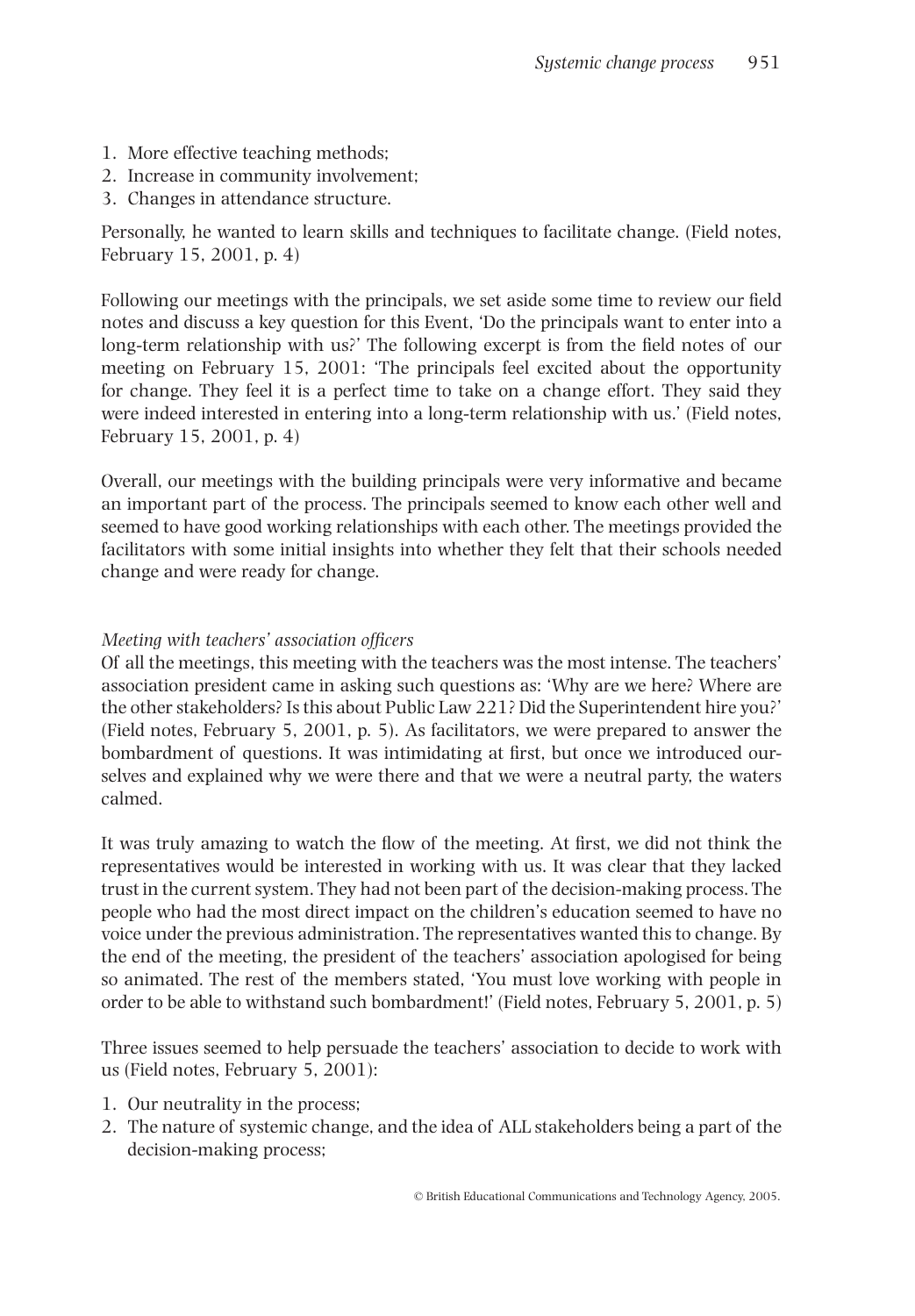- 1. More effective teaching methods;
- 2. Increase in community involvement;
- 3. Changes in attendance structure.

Personally, he wanted to learn skills and techniques to facilitate change. (Field notes, February 15, 2001, p. 4)

Following our meetings with the principals, we set aside some time to review our field notes and discuss a key question for this Event, 'Do the principals want to enter into a long-term relationship with us?' The following excerpt is from the field notes of our meeting on February 15, 2001: 'The principals feel excited about the opportunity for change. They feel it is a perfect time to take on a change effort. They said they were indeed interested in entering into a long-term relationship with us.' (Field notes, February 15, 2001, p. 4)

Overall, our meetings with the building principals were very informative and became an important part of the process. The principals seemed to know each other well and seemed to have good working relationships with each other. The meetings provided the facilitators with some initial insights into whether they felt that their schools needed change and were ready for change.

# *Meeting with teachers' association officers*

Of all the meetings, this meeting with the teachers was the most intense. The teachers' association president came in asking such questions as: 'Why are we here? Where are the other stakeholders? Is this about Public Law 221? Did the Superintendent hire you?' (Field notes, February 5, 2001, p. 5). As facilitators, we were prepared to answer the bombardment of questions. It was intimidating at first, but once we introduced ourselves and explained why we were there and that we were a neutral party, the waters calmed.

It was truly amazing to watch the flow of the meeting. At first, we did not think the representatives would be interested in working with us. It was clear that they lacked trust in the current system. They had not been part of the decision-making process. The people who had the most direct impact on the children's education seemed to have no voice under the previous administration. The representatives wanted this to change. By the end of the meeting, the president of the teachers' association apologised for being so animated. The rest of the members stated, 'You must love working with people in order to be able to withstand such bombardment!' (Field notes, February 5, 2001, p. 5)

Three issues seemed to help persuade the teachers' association to decide to work with us (Field notes, February 5, 2001):

- 1. Our neutrality in the process;
- 2. The nature of systemic change, and the idea of ALL stakeholders being a part of the decision-making process;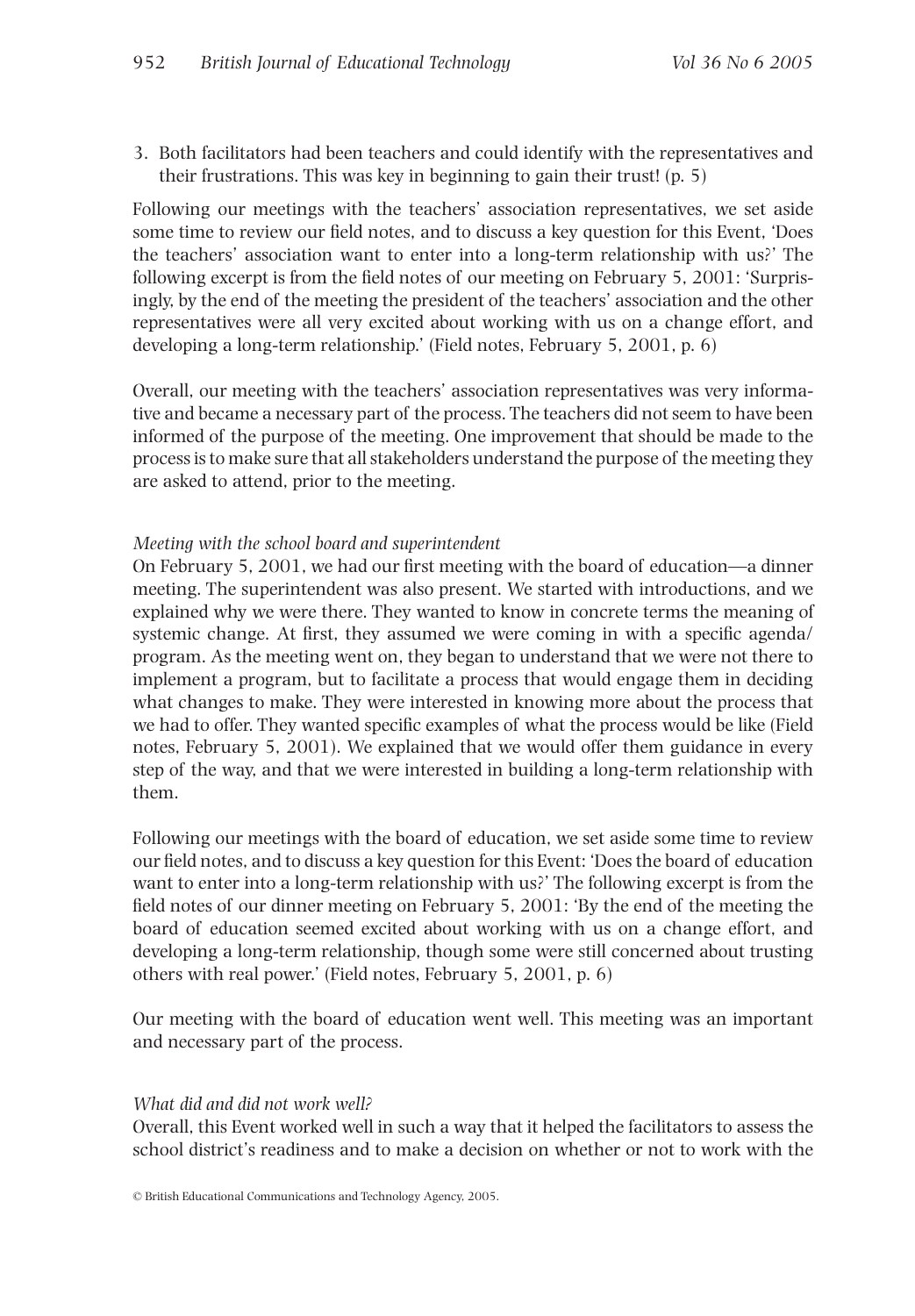3. Both facilitators had been teachers and could identify with the representatives and their frustrations. This was key in beginning to gain their trust! (p. 5)

Following our meetings with the teachers' association representatives, we set aside some time to review our field notes, and to discuss a key question for this Event, 'Does the teachers' association want to enter into a long-term relationship with us?' The following excerpt is from the field notes of our meeting on February 5, 2001: 'Surprisingly, by the end of the meeting the president of the teachers' association and the other representatives were all very excited about working with us on a change effort, and developing a long-term relationship.' (Field notes, February 5, 2001, p. 6)

Overall, our meeting with the teachers' association representatives was very informative and became a necessary part of the process. The teachers did not seem to have been informed of the purpose of the meeting. One improvement that should be made to the process is to make sure that all stakeholders understand the purpose of the meeting they are asked to attend, prior to the meeting.

# *Meeting with the school board and superintendent*

On February 5, 2001, we had our first meeting with the board of education—a dinner meeting. The superintendent was also present. We started with introductions, and we explained why we were there. They wanted to know in concrete terms the meaning of systemic change. At first, they assumed we were coming in with a specific agenda/ program. As the meeting went on, they began to understand that we were not there to implement a program, but to facilitate a process that would engage them in deciding what changes to make. They were interested in knowing more about the process that we had to offer. They wanted specific examples of what the process would be like (Field notes, February 5, 2001). We explained that we would offer them guidance in every step of the way, and that we were interested in building a long-term relationship with them.

Following our meetings with the board of education, we set aside some time to review our field notes, and to discuss a key question for this Event: 'Does the board of education want to enter into a long-term relationship with us?' The following excerpt is from the field notes of our dinner meeting on February 5, 2001: 'By the end of the meeting the board of education seemed excited about working with us on a change effort, and developing a long-term relationship, though some were still concerned about trusting others with real power.' (Field notes, February 5, 2001, p. 6)

Our meeting with the board of education went well. This meeting was an important and necessary part of the process.

# *What did and did not work well?*

Overall, this Event worked well in such a way that it helped the facilitators to assess the school district's readiness and to make a decision on whether or not to work with the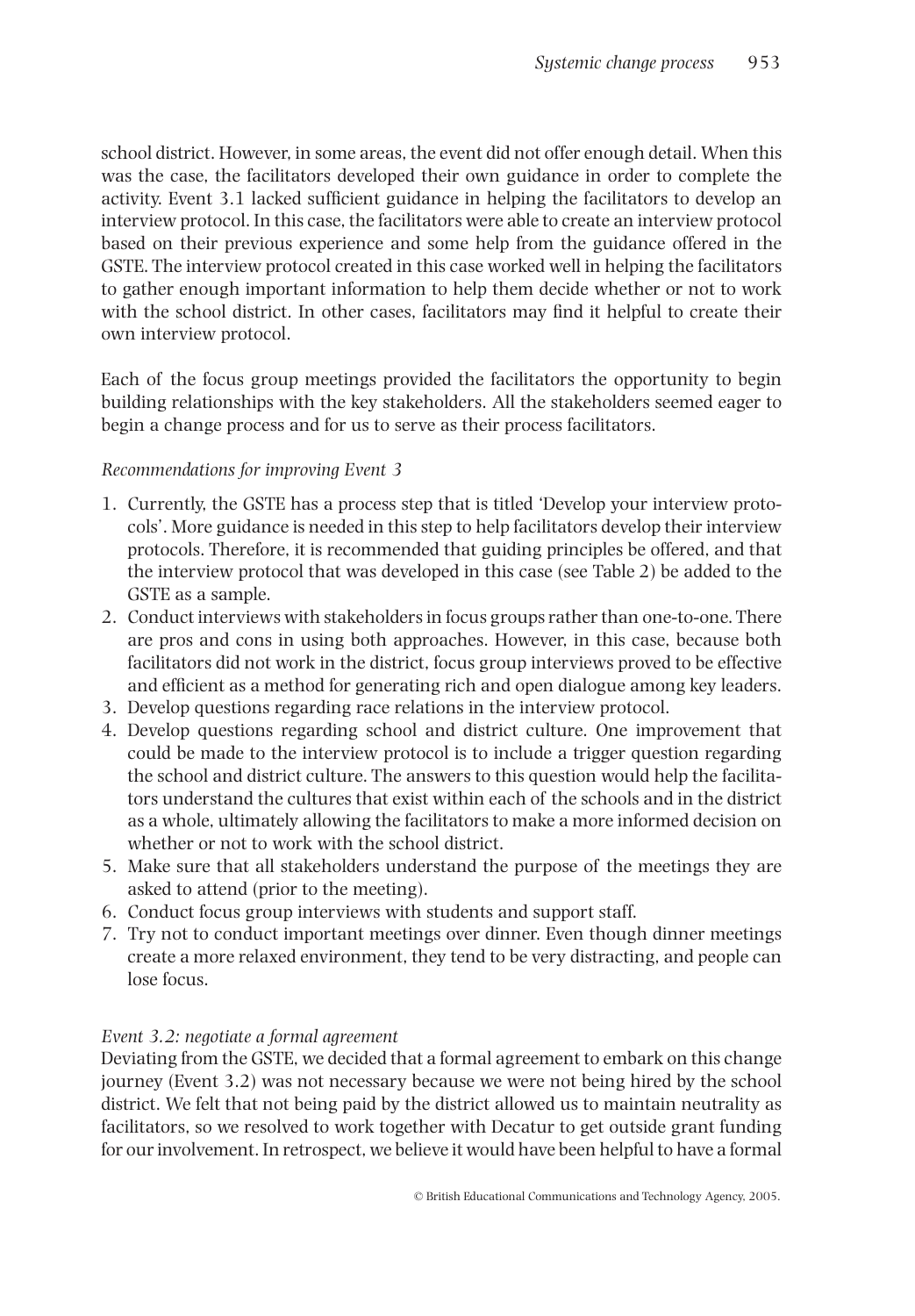school district. However, in some areas, the event did not offer enough detail. When this was the case, the facilitators developed their own guidance in order to complete the activity. Event 3.1 lacked sufficient guidance in helping the facilitators to develop an interview protocol. In this case, the facilitators were able to create an interview protocol based on their previous experience and some help from the guidance offered in the GSTE. The interview protocol created in this case worked well in helping the facilitators to gather enough important information to help them decide whether or not to work with the school district. In other cases, facilitators may find it helpful to create their own interview protocol.

Each of the focus group meetings provided the facilitators the opportunity to begin building relationships with the key stakeholders. All the stakeholders seemed eager to begin a change process and for us to serve as their process facilitators.

# *Recommendations for improving Event 3*

- 1. Currently, the GSTE has a process step that is titled 'Develop your interview protocols'. More guidance is needed in this step to help facilitators develop their interview protocols. Therefore, it is recommended that guiding principles be offered, and that the interview protocol that was developed in this case (see Table 2) be added to the GSTE as a sample.
- 2. Conduct interviews with stakeholders in focus groups rather than one-to-one. There are pros and cons in using both approaches. However, in this case, because both facilitators did not work in the district, focus group interviews proved to be effective and efficient as a method for generating rich and open dialogue among key leaders.
- 3. Develop questions regarding race relations in the interview protocol.
- 4. Develop questions regarding school and district culture. One improvement that could be made to the interview protocol is to include a trigger question regarding the school and district culture. The answers to this question would help the facilitators understand the cultures that exist within each of the schools and in the district as a whole, ultimately allowing the facilitators to make a more informed decision on whether or not to work with the school district.
- 5. Make sure that all stakeholders understand the purpose of the meetings they are asked to attend (prior to the meeting).
- 6. Conduct focus group interviews with students and support staff.
- 7. Try not to conduct important meetings over dinner. Even though dinner meetings create a more relaxed environment, they tend to be very distracting, and people can lose focus.

# *Event 3.2: negotiate a formal agreement*

Deviating from the GSTE, we decided that a formal agreement to embark on this change journey (Event 3.2) was not necessary because we were not being hired by the school district. We felt that not being paid by the district allowed us to maintain neutrality as facilitators, so we resolved to work together with Decatur to get outside grant funding for our involvement. In retrospect, we believe it would have been helpful to have a formal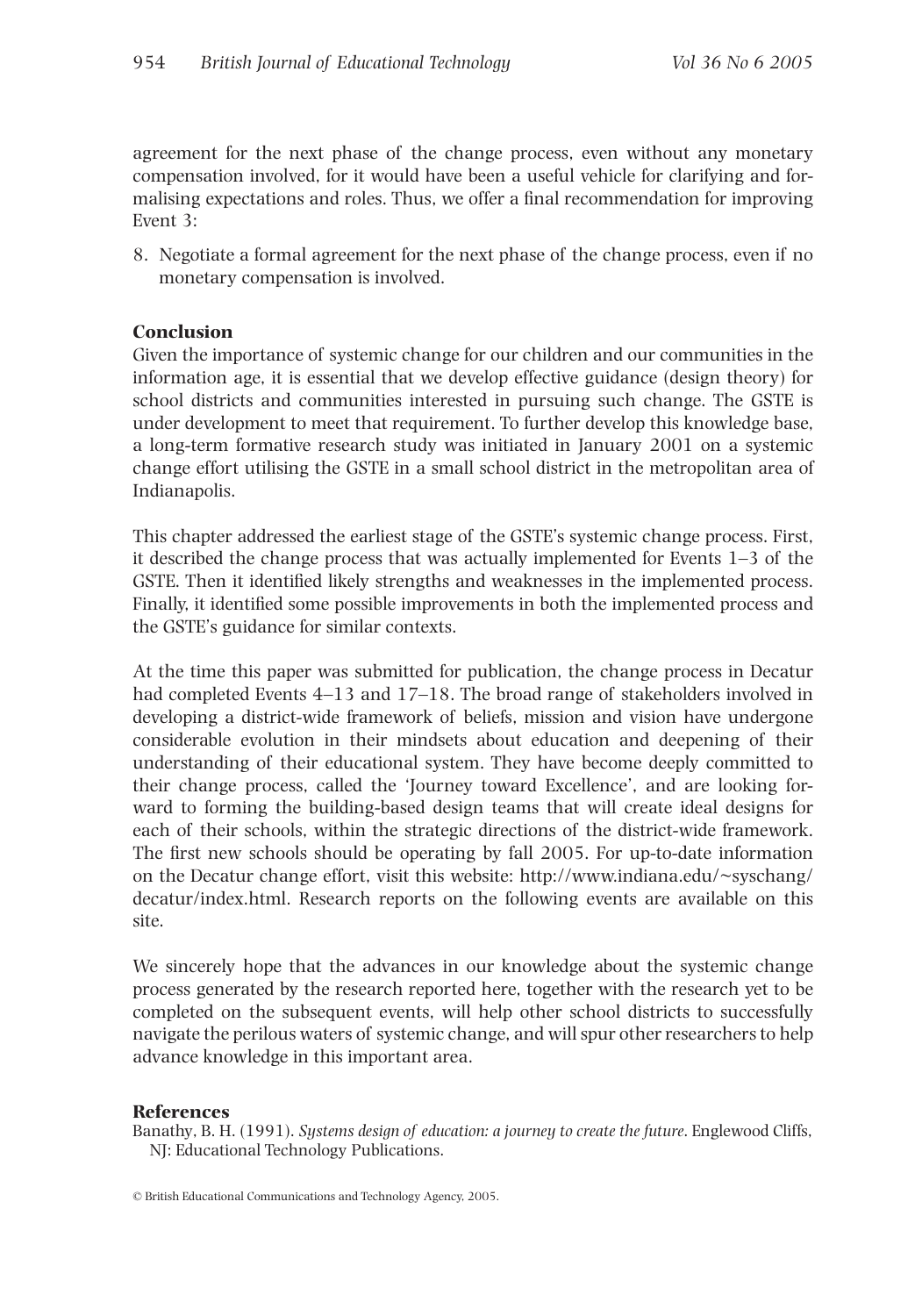agreement for the next phase of the change process, even without any monetary compensation involved, for it would have been a useful vehicle for clarifying and formalising expectations and roles. Thus, we offer a final recommendation for improving Event 3:

8. Negotiate a formal agreement for the next phase of the change process, even if no monetary compensation is involved.

# **Conclusion**

Given the importance of systemic change for our children and our communities in the information age, it is essential that we develop effective guidance (design theory) for school districts and communities interested in pursuing such change. The GSTE is under development to meet that requirement. To further develop this knowledge base, a long-term formative research study was initiated in January 2001 on a systemic change effort utilising the GSTE in a small school district in the metropolitan area of Indianapolis.

This chapter addressed the earliest stage of the GSTE's systemic change process. First, it described the change process that was actually implemented for Events 1–3 of the GSTE. Then it identified likely strengths and weaknesses in the implemented process. Finally, it identified some possible improvements in both the implemented process and the GSTE's guidance for similar contexts.

At the time this paper was submitted for publication, the change process in Decatur had completed Events 4–13 and 17–18. The broad range of stakeholders involved in developing a district-wide framework of beliefs, mission and vision have undergone considerable evolution in their mindsets about education and deepening of their understanding of their educational system. They have become deeply committed to their change process, called the 'Journey toward Excellence', and are looking forward to forming the building-based design teams that will create ideal designs for each of their schools, within the strategic directions of the district-wide framework. The first new schools should be operating by fall 2005. For up-to-date information on the Decatur change effort, visit this website: [http://www.indiana.edu/~syschang/](http://www.indiana.edu/~syschang) decatur/index.html. Research reports on the following events are available on this site.

We sincerely hope that the advances in our knowledge about the systemic change process generated by the research reported here, together with the research yet to be completed on the subsequent events, will help other school districts to successfully navigate the perilous waters of systemic change, and will spur other researchers to help advance knowledge in this important area.

# **References**

Banathy, B. H. (1991). *Systems design of education: a journey to create the future*. Englewood Cliffs, NJ: Educational Technology Publications.

© British Educational Communications and Technology Agency, 2005.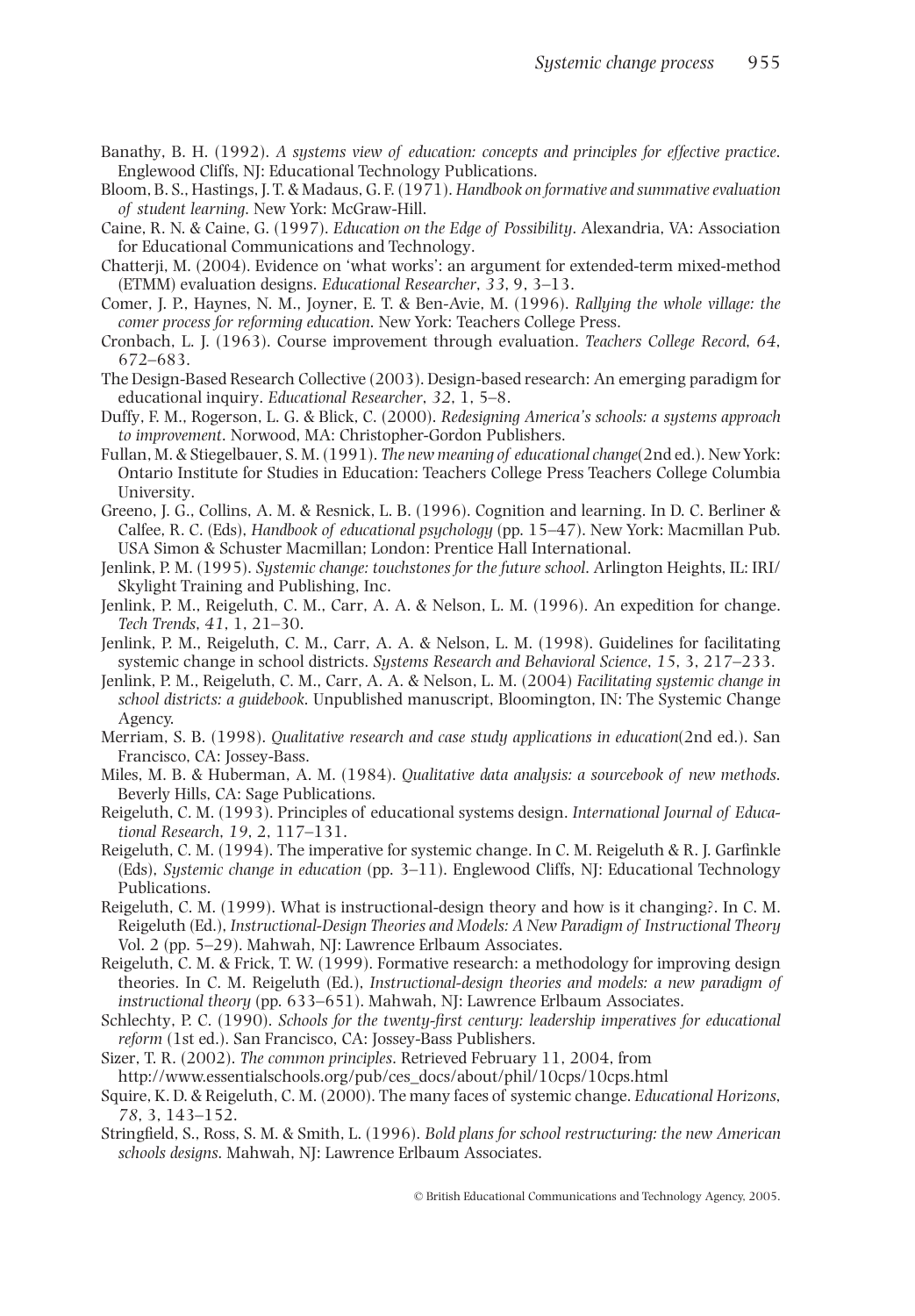- Banathy, B. H. (1992). *A systems view of education: concepts and principles for effective practice*. Englewood Cliffs, NJ: Educational Technology Publications.
- Bloom, B. S., Hastings, J. T. & Madaus, G. F. (1971). *Handbook on formative and summative evaluation of student learning*. New York: McGraw-Hill.
- Caine, R. N. & Caine, G. (1997). *Education on the Edge of Possibility*. Alexandria, VA: Association for Educational Communications and Technology.
- Chatterji, M. (2004). Evidence on 'what works': an argument for extended-term mixed-method (ETMM) evaluation designs. *Educational Researcher*, *33*, 9, 3–13.
- Comer, J. P., Haynes, N. M., Joyner, E. T. & Ben-Avie, M. (1996). *Rallying the whole village: the comer process for reforming education*. New York: Teachers College Press.
- Cronbach, L. J. (1963). Course improvement through evaluation. *Teachers College Record*, *64*, 672–683.
- The Design-Based Research Collective (2003). Design-based research: An emerging paradigm for educational inquiry. *Educational Researcher*, *32*, 1, 5–8.
- Duffy, F. M., Rogerson, L. G. & Blick, C. (2000). *Redesigning America's schools: a systems approach to improvement*. Norwood, MA: Christopher-Gordon Publishers.
- Fullan, M. & Stiegelbauer, S. M. (1991). *The new meaning of educational change*(2nd ed.). New York: Ontario Institute for Studies in Education: Teachers College Press Teachers College Columbia University.
- Greeno, J. G., Collins, A. M. & Resnick, L. B. (1996). Cognition and learning. In D. C. Berliner & Calfee, R. C. (Eds), *Handbook of educational psychology* (pp. 15–47). New York: Macmillan Pub. USA Simon & Schuster Macmillan; London: Prentice Hall International.
- Jenlink, P. M. (1995). *Systemic change: touchstones for the future school*. Arlington Heights, IL: IRI/ Skylight Training and Publishing, Inc.
- Jenlink, P. M., Reigeluth, C. M., Carr, A. A. & Nelson, L. M. (1996). An expedition for change. *Tech Trends*, *41*, 1, 21–30.
- Jenlink, P. M., Reigeluth, C. M., Carr, A. A. & Nelson, L. M. (1998). Guidelines for facilitating systemic change in school districts. *Systems Research and Behavioral Science*, *15*, 3, 217–233.
- Jenlink, P. M., Reigeluth, C. M., Carr, A. A. & Nelson, L. M. (2004) *Facilitating systemic change in school districts: a guidebook*. Unpublished manuscript, Bloomington, IN: The Systemic Change Agency.
- Merriam, S. B. (1998). *Qualitative research and case study applications in education*(2nd ed.). San Francisco, CA: Jossey-Bass.
- Miles, M. B. & Huberman, A. M. (1984). *Qualitative data analysis: a sourcebook of new methods*. Beverly Hills, CA: Sage Publications.
- Reigeluth, C. M. (1993). Principles of educational systems design. *International Journal of Educational Research*, *19*, 2, 117–131.
- Reigeluth, C. M. (1994). The imperative for systemic change. In C. M. Reigeluth & R. J. Garfinkle (Eds), *Systemic change in education* (pp. 3–11). Englewood Cliffs, NJ: Educational Technology Publications.
- Reigeluth, C. M. (1999). What is instructional-design theory and how is it changing?. In C. M. Reigeluth (Ed.), *Instructional-Design Theories and Models: A New Paradigm of Instructional Theory* Vol. 2 (pp. 5–29). Mahwah, NJ: Lawrence Erlbaum Associates.
- Reigeluth, C. M. & Frick, T. W. (1999). Formative research: a methodology for improving design theories. In C. M. Reigeluth (Ed.), *Instructional-design theories and models: a new paradigm of instructional theory* (pp. 633–651). Mahwah, NJ: Lawrence Erlbaum Associates.
- Schlechty, P. C. (1990). *Schools for the twenty-first century: leadership imperatives for educational reform* (1st ed.). San Francisco, CA: Jossey-Bass Publishers.
- Sizer, T. R. (2002). *The common principles*. Retrieved February 11, 2004, from [http://www.essentialschools.org/pub/ces\\_docs/about/phil/10cps/10cps.html](http://www.essentialschools.org/pub/ces_docs/about/phil/10cps/10cps.html)
- Squire, K. D. & Reigeluth, C. M. (2000). The many faces of systemic change. *Educational Horizons*, *78*, 3, 143–152.
- Stringfield, S., Ross, S. M. & Smith, L. (1996). *Bold plans for school restructuring: the new American schools designs*. Mahwah, NJ: Lawrence Erlbaum Associates.